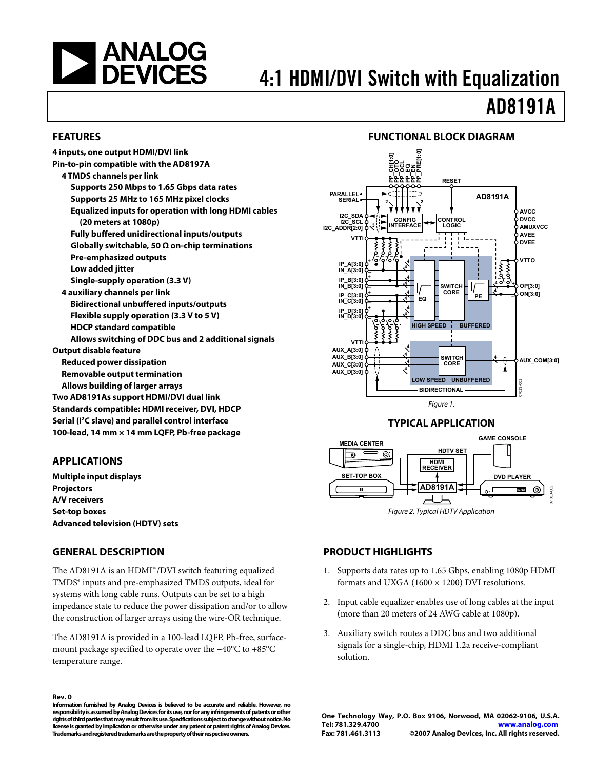<span id="page-0-0"></span>

# 4:1 HDMI/DVI Switch with Equalization

# AD8191A

#### **FEATURES**

### **FUNCTIONAL BLOCK DIAGRAM**



### **APPLICATIONS**

**Multiple input displays Projectors A/V receivers Set-top boxes Advanced television (HDTV) sets** 

#### **GENERAL DESCRIPTION**

The AD8191A is an HDMI™/DVI switch featuring equalized TMDS® inputs and pre-emphasized TMDS outputs, ideal for systems with long cable runs. Outputs can be set to a high impedance state to reduce the power dissipation and/or to allow the construction of larger arrays using the wire-OR technique.

The AD8191A is provided in a 100-lead LQFP, Pb-free, surfacemount package specified to operate over the −40°C to +85°C temperature range.

#### **Rev. 0**

**Information furnished by Analog Devices is believed to be accurate and reliable. However, no responsibility is assumed by Analog Devices for its use, nor for any infringements of patents or other rights of third parties that may result from its use. Specifications subject to change without notice. No license is granted by implication or otherwise under any patent or patent rights of Analog Devices. Trademarks and registered trademarks are the property of their respective owners.** 



#### **TYPICAL APPLICATION**



### **PRODUCT HIGHLIGHTS**

- 1. Supports data rates up to 1.65 Gbps, enabling 1080p HDMI formats and UXGA (1600  $\times$  1200) DVI resolutions.
- 2. Input cable equalizer enables use of long cables at the input (more than 20 meters of 24 AWG cable at 1080p).
- 3. Auxiliary switch routes a DDC bus and two additional signals for a single-chip, HDMI 1.2a receive-compliant solution.

**One Technology Way, P.O. Box 9106, Norwood, MA 02062-9106, U.S.A. Tel: 781.329.4700 www.analog.com Fax: 781.461.3113 ©2007 Analog Devices, Inc. All rights reserved.**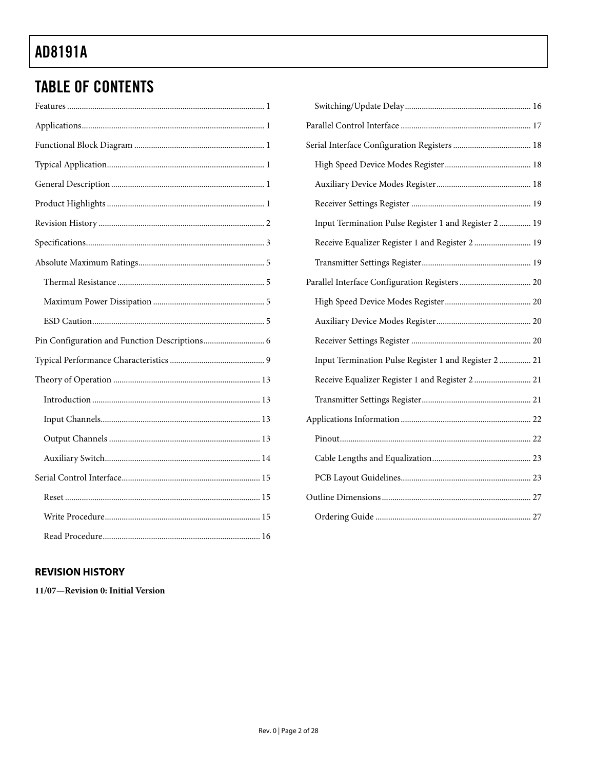## <span id="page-1-0"></span>**TABLE OF CONTENTS**

## Input Termination Pulse Register 1 and Register 2 ............... 19 Receive Equalizer Register 1 and Register 2 ........................... 19 Input Termination Pulse Register 1 and Register 2 ............... 21 Receive Equalizer Register 1 and Register 2 ........................... 21

## **REVISION HISTORY**

11/07-Revision 0: Initial Version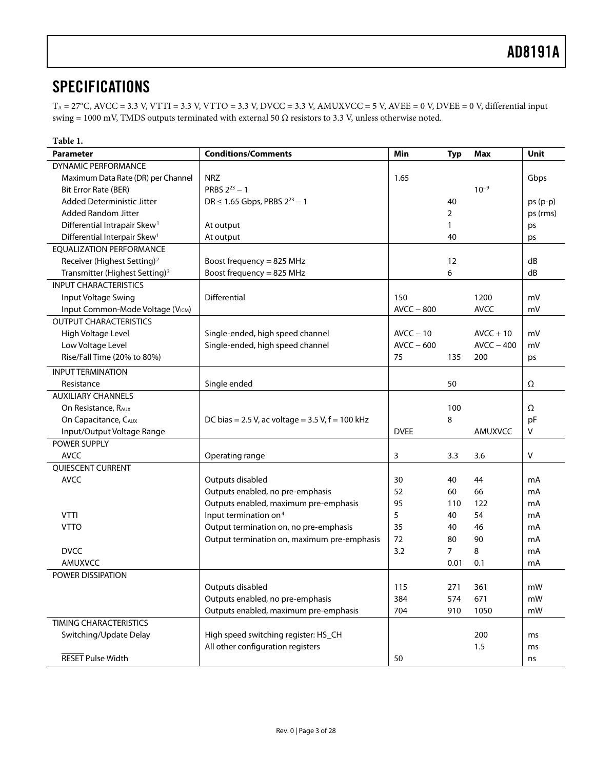## <span id="page-2-0"></span>**SPECIFICATIONS**

 $T_A = 27^{\circ}$ C, AVCC = 3.3 V, VTTI = 3.3 V, VTTO = 3.3 V, DVCC = 3.3 V, AMUXVCC = 5 V, AVEE = 0 V, DVEE = 0 V, differential input swing = 1000 mV, TMDS outputs terminated with external 50  $Ω$  resistors to 3.3 V, unless otherwise noted.

<span id="page-2-1"></span>

| Table 1.                                   |                                                      |              |                |              |           |
|--------------------------------------------|------------------------------------------------------|--------------|----------------|--------------|-----------|
| <b>Parameter</b>                           | <b>Conditions/Comments</b>                           | Min          | <b>Typ</b>     | Max          | Unit      |
| DYNAMIC PERFORMANCE                        |                                                      |              |                |              |           |
| Maximum Data Rate (DR) per Channel         | <b>NRZ</b>                                           | 1.65         |                |              | Gbps      |
| Bit Error Rate (BER)                       | PRBS $2^{23} - 1$                                    |              |                | $10^{-9}$    |           |
| <b>Added Deterministic Jitter</b>          | DR $\leq$ 1.65 Gbps, PRBS 2 <sup>23</sup> - 1        |              | 40             |              | $ps(p-p)$ |
| <b>Added Random Jitter</b>                 |                                                      |              | 2              |              | ps (rms)  |
| Differential Intrapair Skew <sup>1</sup>   | At output                                            |              | $\mathbf{1}$   |              | ps        |
| Differential Interpair Skew <sup>1</sup>   | At output                                            |              | 40             |              | ps        |
| <b>EOUALIZATION PERFORMANCE</b>            |                                                      |              |                |              |           |
| Receiver (Highest Setting) <sup>2</sup>    | Boost frequency = $825$ MHz                          |              | 12             |              | dB        |
| Transmitter (Highest Setting) <sup>3</sup> | Boost frequency = 825 MHz                            |              | 6              |              | dB        |
| <b>INPUT CHARACTERISTICS</b>               |                                                      |              |                |              |           |
| Input Voltage Swing                        | Differential                                         | 150          |                | 1200         | mV        |
| Input Common-Mode Voltage (VICM)           |                                                      | $AVCC - 800$ |                | <b>AVCC</b>  | mV        |
| <b>OUTPUT CHARACTERISTICS</b>              |                                                      |              |                |              |           |
| High Voltage Level                         | Single-ended, high speed channel                     | $AVCC - 10$  |                | $AVCC + 10$  | mV        |
| Low Voltage Level                          | Single-ended, high speed channel                     | $AVCC - 600$ |                | $AVCC - 400$ | mV        |
| Rise/Fall Time (20% to 80%)                |                                                      | 75           | 135            | 200          | ps        |
| <b>INPUT TERMINATION</b>                   |                                                      |              |                |              |           |
| Resistance                                 | Single ended                                         |              | 50             |              | Ω         |
| <b>AUXILIARY CHANNELS</b>                  |                                                      |              |                |              |           |
| On Resistance, RAUX                        |                                                      |              | 100            |              | Ω         |
| On Capacitance, CAUX                       | DC bias = 2.5 V, ac voltage = $3.5$ V, $f = 100$ kHz |              | 8              |              | pF        |
| Input/Output Voltage Range                 |                                                      | <b>DVEE</b>  |                | AMUXVCC      | V         |
| POWER SUPPLY                               |                                                      |              |                |              |           |
| <b>AVCC</b>                                | Operating range                                      | 3            | 3.3            | 3.6          | v         |
| QUIESCENT CURRENT                          |                                                      |              |                |              |           |
| <b>AVCC</b>                                | Outputs disabled                                     | 30           | 40             | 44           | mA        |
|                                            | Outputs enabled, no pre-emphasis                     | 52           | 60             | 66           | mA        |
|                                            | Outputs enabled, maximum pre-emphasis                | 95           | 110            | 122          | mA        |
| <b>VTTI</b>                                | Input termination on <sup>4</sup>                    | 5            | 40             | 54           | mA        |
| <b>VTTO</b>                                | Output termination on, no pre-emphasis               | 35           | 40             | 46           | mA        |
|                                            | Output termination on, maximum pre-emphasis          | 72           | 80             | 90           | mA        |
| <b>DVCC</b>                                |                                                      | 3.2          | $\overline{7}$ | 8            | mA        |
| AMUXVCC                                    |                                                      |              | 0.01           | 0.1          | mA        |
| POWER DISSIPATION                          |                                                      |              |                |              |           |
|                                            | Outputs disabled                                     | 115          | 271            | 361          | mW        |
|                                            | Outputs enabled, no pre-emphasis                     | 384          | 574            | 671          | mW        |
|                                            | Outputs enabled, maximum pre-emphasis                | 704          | 910            | 1050         | mW        |
| <b>TIMING CHARACTERISTICS</b>              |                                                      |              |                |              |           |
| Switching/Update Delay                     | High speed switching register: HS_CH                 |              |                | 200          | ms        |
|                                            | All other configuration registers                    |              |                | 1.5          | ms        |
| <b>RESET Pulse Width</b>                   |                                                      | 50           |                |              | ns        |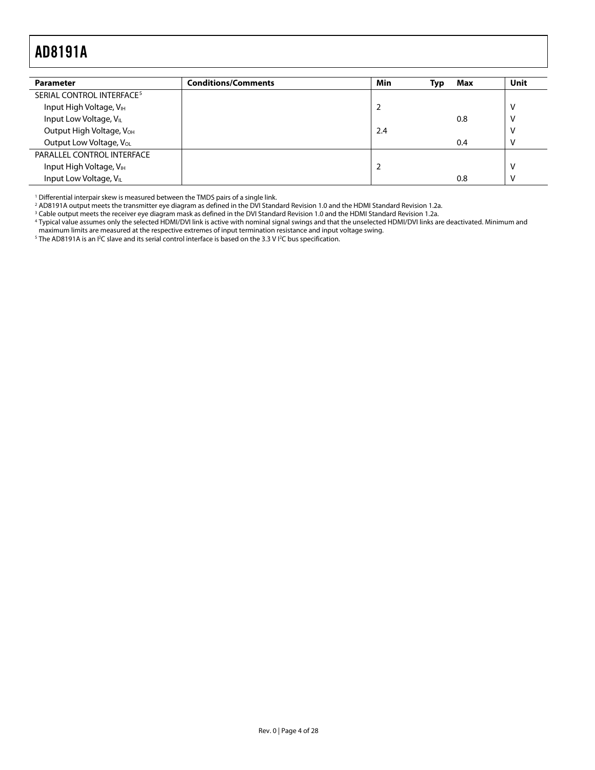<span id="page-3-0"></span>

| <b>Parameter</b>                      | <b>Conditions/Comments</b> | Min            | Typ | Max | Unit         |
|---------------------------------------|----------------------------|----------------|-----|-----|--------------|
| SERIAL CONTROL INTERFACE <sup>5</sup> |                            |                |     |     |              |
| Input High Voltage, V <sub>IH</sub>   |                            | $\overline{2}$ |     |     | V            |
| Input Low Voltage, VIL                |                            |                |     | 0.8 | v            |
| Output High Voltage, V <sub>OH</sub>  |                            | 2.4            |     |     | v            |
| Output Low Voltage, Vol.              |                            |                |     | 0.4 | $\mathsf{V}$ |
| PARALLEL CONTROL INTERFACE            |                            |                |     |     |              |
| Input High Voltage, VIH               |                            |                |     |     | V            |
| Input Low Voltage, VIL                |                            |                |     | 0.8 | $\mathsf{V}$ |

<sup>1</sup> Differential interpair skew is measured between the TMDS pairs of a single link.

<sup>2</sup> AD8191A output meets the transmitter eye diagram as defined in the DVI Standard Revision 1.0 and the HDMI Standard Revision 1.2a.<br><sup>3</sup> Cable output meets the receiver eve diagram mask as defined in the DVI Standard Revi

<sup>3</sup> Cable output meets the receiver eye diagram mask as defined in the DVI Standard Revision 1.0 and the HDMI Standard Revision 1.2a.<br><sup>4</sup> Typical value assumes only the selected HDMI/DVI link is active with nominal signal

maximum limits are measured at the respective extremes of input termination resistance and input voltage swing. 5

The AD8191A is an I<sup>2</sup>C slave and its serial control interface is based on the 3.3 V I<sup>2</sup>C bus specification.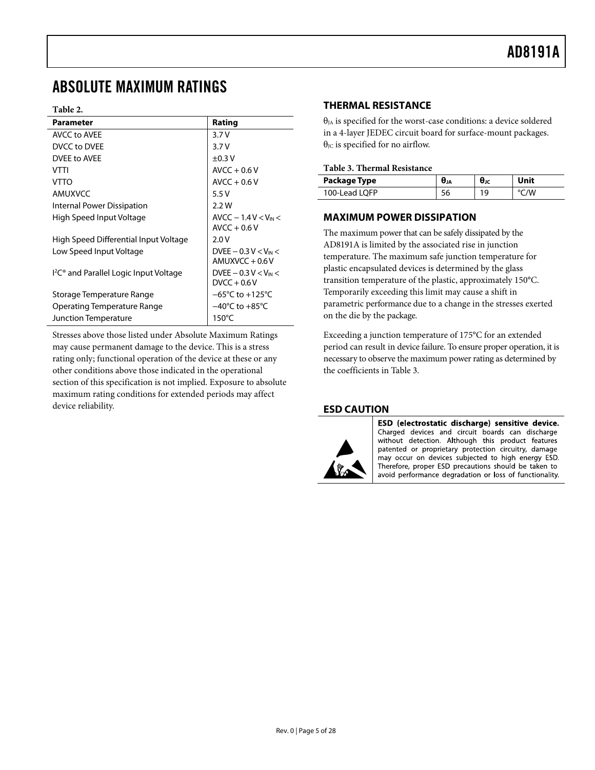## <span id="page-4-0"></span>ABSOLUTE MAXIMUM RATINGS

#### **Table 2.**

<span id="page-4-1"></span>

| <b>Parameter</b>                                               | Rating                                     |
|----------------------------------------------------------------|--------------------------------------------|
| <b>AVCC to AVEE</b>                                            | 3.7V                                       |
| DVCC to DVEE                                                   | 3.7V                                       |
| DVEE to AVEE                                                   | $\pm 0.3$ V                                |
| VTTI                                                           | $AVCC + 0.6 V$                             |
| <b>VTTO</b>                                                    | $AVCC + 0.6 V$                             |
| AMUXVCC                                                        | 5.5V                                       |
| Internal Power Dissipation                                     | 2.2W                                       |
| High Speed Input Voltage                                       | $AVCC - 1.4 V < V_{IN}$<br>$AVCC + 0.6 V$  |
| High Speed Differential Input Voltage                          | 2.0V                                       |
| Low Speed Input Voltage                                        | DVEE $-0.3 V < V_{IN}$<br>$AMUXVCC + 0.6V$ |
| I <sup>2</sup> C <sup>®</sup> and Parallel Logic Input Voltage | DVEE $-0.3 V < V_{IN}$<br>$DVCC + 0.6V$    |
| Storage Temperature Range                                      | $-65^{\circ}$ C to $+125^{\circ}$ C        |
| Operating Temperature Range                                    | $-40^{\circ}$ C to $+85^{\circ}$ C         |
| Junction Temperature                                           | $150^{\circ}$ C                            |

Stresses above those listed under Absolute Maximum Ratings may cause permanent damage to the device. This is a stress rating only; functional operation of the device at these or any other conditions above those indicated in the operational section of this specification is not implied. Exposure to absolute maximum rating conditions for extended periods may affect device reliability.

### **THERMAL RESISTANCE**

 $\theta_{IA}$  is specified for the worst-case conditions: a device soldered in a 4-layer JEDEC circuit board for surface-mount packages. θ<sub>JC</sub> is specified for no airflow.

#### **Table 3. Thermal Resistance**

| Package Type  | UJA | θк | Unit |
|---------------|-----|----|------|
| 100-Lead LOFP | эo  | 19 | /V   |

### **MAXIMUM POWER DISSIPATION**

The maximum power that can be safely dissipated by the AD8191A is limited by the associated rise in junction temperature. The maximum safe junction temperature for plastic encapsulated devices is determined by the glass transition temperature of the plastic, approximately 150°C. Temporarily exceeding this limit may cause a shift in parametric performance due to a change in the stresses exerted on the die by the package.

Exceeding a junction temperature of 175°C for an extended period can result in device failure. To ensure proper operation, it is necessary to observe the maximum power rating as determined by the coefficients in [Table 3](#page-4-1).

### **ESD CAUTION**



ESD (electrostatic discharge) sensitive device. Charged devices and circuit boards can discharge without detection. Although this product features patented or proprietary protection circuitry, damage may occur on devices subjected to high energy ESD. Therefore, proper ESD precautions should be taken to avoid performance degradation or loss of functionality.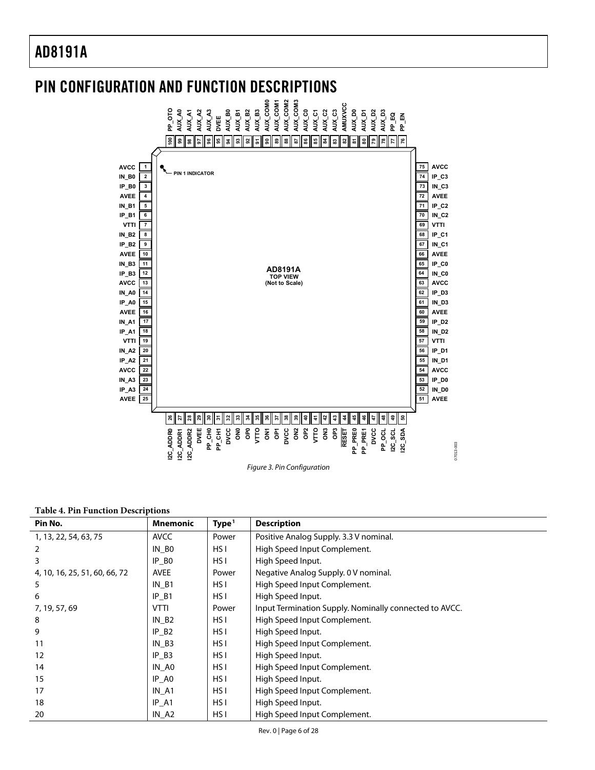## <span id="page-5-0"></span>PIN CONFIGURATION AND FUNCTION DESCRIPTIONS



#### **Table 4. Pin Function Descriptions**

| Pin No.                       | <b>Mnemonic</b>     | Type <sup>1</sup> | <b>Description</b>                                     |
|-------------------------------|---------------------|-------------------|--------------------------------------------------------|
| 1, 13, 22, 54, 63, 75         | <b>AVCC</b>         | Power             | Positive Analog Supply. 3.3 V nominal.                 |
| 2                             | IN BO               | HS I              | High Speed Input Complement.                           |
| 3                             | $IP_B0$             | HS I              | High Speed Input.                                      |
| 4, 10, 16, 25, 51, 60, 66, 72 | <b>AVEE</b>         | Power             | Negative Analog Supply. 0 V nominal.                   |
| 5                             | IN B1               | HS I              | High Speed Input Complement.                           |
| 6                             | $IP_B1$             | HS I              | High Speed Input.                                      |
| 7, 19, 57, 69                 | <b>VTTI</b>         | Power             | Input Termination Supply. Nominally connected to AVCC. |
| 8                             | INB2                | HS I              | High Speed Input Complement.                           |
| 9                             | $IP$ B <sub>2</sub> | HS I              | High Speed Input.                                      |
| 11                            | IN B3               | HS I              | High Speed Input Complement.                           |
| 12                            | IP B3               | HS I              | High Speed Input.                                      |
| 14                            | IN AO               | HS I              | High Speed Input Complement.                           |
| 15                            | $IP_A0$             | HS I              | High Speed Input.                                      |
| 17                            | IN A1               | HS I              | High Speed Input Complement.                           |
| 18                            | IP A1               | HS I              | High Speed Input.                                      |
| 20                            | $IN_A2$             | HS I              | High Speed Input Complement.                           |

07013-003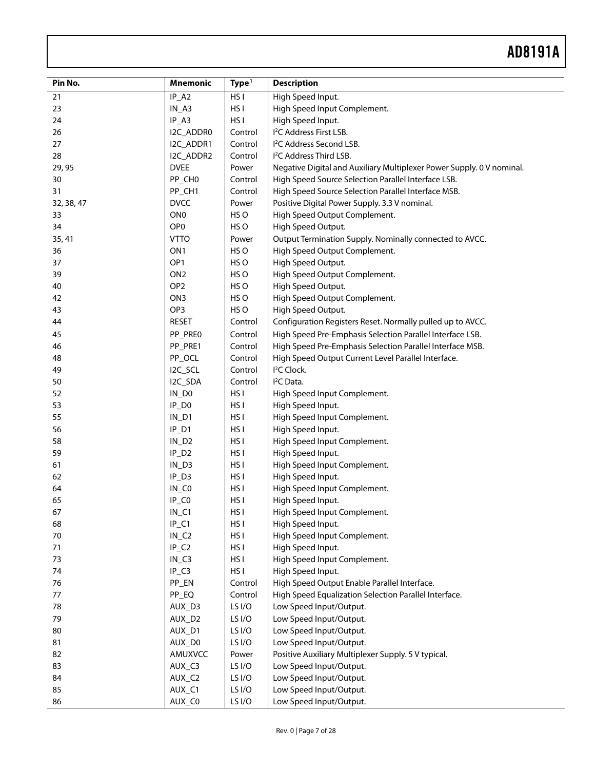| Pin No.    | <b>Mnemonic</b>     | Type <sup>1</sup> | <b>Description</b>                                                    |
|------------|---------------------|-------------------|-----------------------------------------------------------------------|
| 21         | $IP_A2$             | HS <sub>I</sub>   | High Speed Input.                                                     |
| 23         | $IN_A3$             | HS <sub>I</sub>   | High Speed Input Complement.                                          |
| 24         | $IP_A3$             | HS <sub>I</sub>   | High Speed Input.                                                     |
| 26         | I2C_ADDR0           | Control           | I <sup>2</sup> C Address First LSB.                                   |
| 27         | I2C_ADDR1           | Control           | I <sup>2</sup> C Address Second LSB.                                  |
| 28         | I2C_ADDR2           | Control           | I <sup>2</sup> C Address Third LSB.                                   |
| 29, 95     | <b>DVEE</b>         | Power             | Negative Digital and Auxiliary Multiplexer Power Supply. 0 V nominal. |
| 30         | PP_CH0              | Control           | High Speed Source Selection Parallel Interface LSB.                   |
| 31         | PP_CH1              | Control           | High Speed Source Selection Parallel Interface MSB.                   |
| 32, 38, 47 | <b>DVCC</b>         | Power             | Positive Digital Power Supply. 3.3 V nominal.                         |
| 33         | ON <sub>0</sub>     | HS O              | High Speed Output Complement.                                         |
| 34         | OP <sub>0</sub>     | HS O              | High Speed Output.                                                    |
| 35, 41     | <b>VTTO</b>         | Power             | Output Termination Supply. Nominally connected to AVCC.               |
| 36         | ON <sub>1</sub>     | HS O              | High Speed Output Complement.                                         |
| 37         | OP1                 | HS O              | High Speed Output.                                                    |
| 39         | ON <sub>2</sub>     | HS O              | High Speed Output Complement.                                         |
| 40         | OP <sub>2</sub>     | HS O              | High Speed Output.                                                    |
| 42         | ON3                 | HS O              | High Speed Output Complement.                                         |
| 43         | OP3                 | HS O              | High Speed Output.                                                    |
| 44         | <b>RESET</b>        | Control           | Configuration Registers Reset. Normally pulled up to AVCC.            |
| 45         | PP_PRE0             | Control           | High Speed Pre-Emphasis Selection Parallel Interface LSB.             |
| 46         | PP_PRE1             | Control           | High Speed Pre-Emphasis Selection Parallel Interface MSB.             |
| 48         | PP_OCL              | Control           | High Speed Output Current Level Parallel Interface.                   |
| 49         | I2C_SCL             | Control           | I <sup>2</sup> C Clock.                                               |
| 50         | I2C_SDA             | Control           | I <sup>2</sup> C Data.                                                |
| 52         | $IN_$               | HS <sub>I</sub>   | High Speed Input Complement.                                          |
| 53         | $IP$ <sub>D0</sub>  | HS <sub>I</sub>   | High Speed Input.                                                     |
| 55         | $IN_D1$             | HS <sub>I</sub>   | High Speed Input Complement.                                          |
| 56         | $IP_D1$             | HS <sub>I</sub>   | High Speed Input.                                                     |
| 58         | $IN_D2$             | HS <sub>I</sub>   | High Speed Input Complement.                                          |
| 59         | $IP_D2$             | HS I              | High Speed Input.                                                     |
| 61         | $IN_D3$             | HS I              | High Speed Input Complement.                                          |
| 62         | $IP$ <sub>-D3</sub> | HS <sub>I</sub>   | High Speed Input.                                                     |
| 64         | $IN\_CO$            | HS <sub>I</sub>   | High Speed Input Complement.                                          |
| 65         | IP_CO               | HS <sub>I</sub>   | High Speed Input.                                                     |
| 67         | $IN_C1$             | HS <sub>I</sub>   | High Speed Input Complement.                                          |
| 68         | $IP_C1$             | HS <sub>I</sub>   | High Speed Input.                                                     |
| 70         | $IN_C2$             | HS <sub>I</sub>   | High Speed Input Complement.                                          |
| 71         | $IP_C2$             | HS <sub>I</sub>   | High Speed Input.                                                     |
| 73         | $IN_C3$             | HS <sub>I</sub>   | High Speed Input Complement.                                          |
| 74         | $IP_C3$             | HS <sub>I</sub>   | High Speed Input.                                                     |
| 76         | PP_EN               | Control           | High Speed Output Enable Parallel Interface.                          |
| 77         | PP_EQ               | Control           | High Speed Equalization Selection Parallel Interface.                 |
| 78         | AUX D3              | LS I/O            | Low Speed Input/Output.                                               |
| 79         | AUX_D2              | LS I/O            | Low Speed Input/Output.                                               |
| 80         | AUX_D1              | LS I/O            | Low Speed Input/Output.                                               |
| 81         | AUX_D0              | LS I/O            | Low Speed Input/Output.                                               |
| 82         | AMUXVCC             | Power             | Positive Auxiliary Multiplexer Supply. 5 V typical.                   |
| 83         | AUX_C3              | LS I/O            | Low Speed Input/Output.                                               |
| 84         | AUX_C2              | LS I/O            | Low Speed Input/Output.                                               |
| 85         | AUX_C1              | LS I/O            | Low Speed Input/Output.                                               |
| 86         | AUX_C0              | LS I/O            | Low Speed Input/Output.                                               |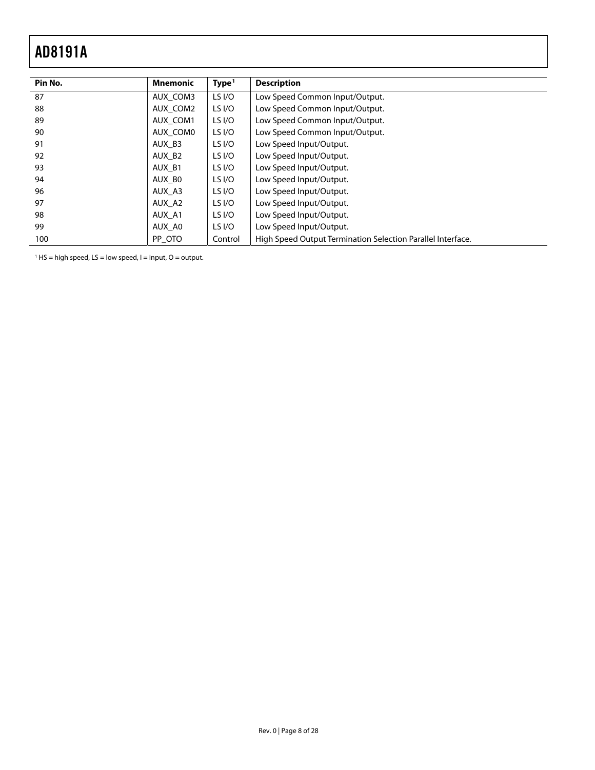l.

<span id="page-7-1"></span><span id="page-7-0"></span>

| Pin No. | <b>Mnemonic</b> | Type <sup>1</sup> | <b>Description</b>                                          |
|---------|-----------------|-------------------|-------------------------------------------------------------|
| 87      | AUX COM3        | LS I/O            | Low Speed Common Input/Output.                              |
| 88      | AUX COM2        | LS I/O            | Low Speed Common Input/Output.                              |
| 89      | AUX COM1        | LS I/O            | Low Speed Common Input/Output.                              |
| 90      | AUX COMO        | LS I/O            | Low Speed Common Input/Output.                              |
| 91      | AUX B3          | LS I/O            | Low Speed Input/Output.                                     |
| 92      | AUX B2          | LS I/O            | Low Speed Input/Output.                                     |
| 93      | AUX B1          | LS I/O            | Low Speed Input/Output.                                     |
| 94      | AUX BO          | LS I/O            | Low Speed Input/Output.                                     |
| 96      | AUX A3          | LS I/O            | Low Speed Input/Output.                                     |
| 97      | AUX A2          | LS I/O            | Low Speed Input/Output.                                     |
| 98      | AUX A1          | LS $I/O$          | Low Speed Input/Output.                                     |
| 99      | AUX AO          | LS I/O            | Low Speed Input/Output.                                     |
| 100     | PP OTO          | Control           | High Speed Output Termination Selection Parallel Interface. |

 $<sup>1</sup>$  HS = high speed, LS = low speed, l = input, O = output.</sup>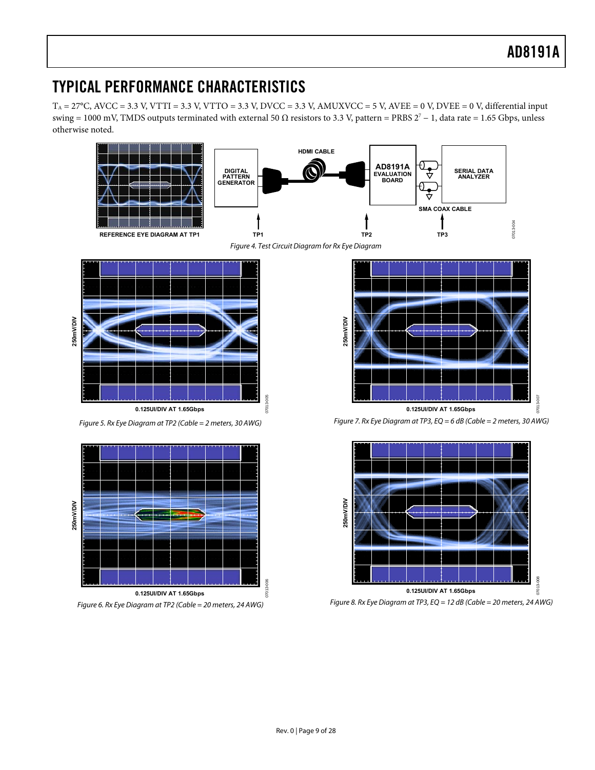## <span id="page-8-0"></span>TYPICAL PERFORMANCE CHARACTERISTICS

 $T_A = 27^{\circ}$ C, AVCC = 3.3 V, VTTI = 3.3 V, VTTO = 3.3 V, DVCC = 3.3 V, AMUXVCC = 5 V, AVEE = 0 V, DVEE = 0 V, differential input swing = 1000 mV, TMDS outputs terminated with external 50 Ω resistors to 3.3 V, pattern = PRBS  $2^7 - 1$ , data rate = 1.65 Gbps, unless otherwise noted.

<span id="page-8-1"></span>

**0.125UI/DIV AT 1.65Gbps** Figure 6. Rx Eye Diagram at TP2 (Cable = 20 meters, 24 AWG)

Figure 8. Rx Eye Diagram at TP3, EQ = 12 dB (Cable = 20 meters, 24 AWG)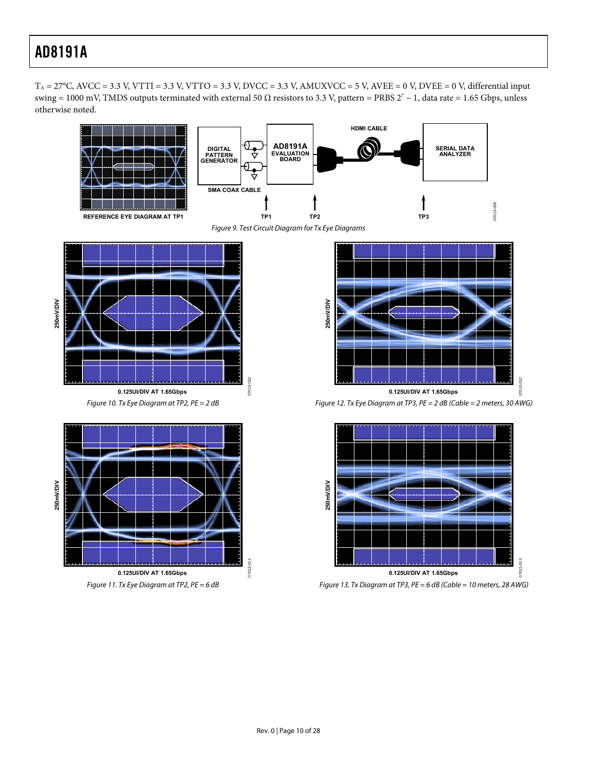$T_A = 27^{\circ}$ C, AVCC = 3.3 V, VTTI = 3.3 V, VTTO = 3.3 V, DVCC = 3.3 V, AMUXVCC = 5 V, AVEE = 0 V, DVEE = 0 V, differential input swing = 1000 mV, TMDS outputs terminated with external 50 Ω resistors to 3.3 V, pattern = PRBS  $2^7 - 1$ , data rate = 1.65 Gbps, unless otherwise noted.



Figure 9. Test Circuit Diagram for Tx Eye Diagrams

07013-010

07013-010

<span id="page-9-0"></span>

Figure 10. Tx Eye Diagram at TP2, PE = 2 dB





Figure 12. Tx Eye Diagram at TP3, PE = 2 dB (Cable = 2 meters, 30 AWG)



Figure 13. Tx Diagram at TP3, PE = 6 dB (Cable = 10 meters, 28 AWG)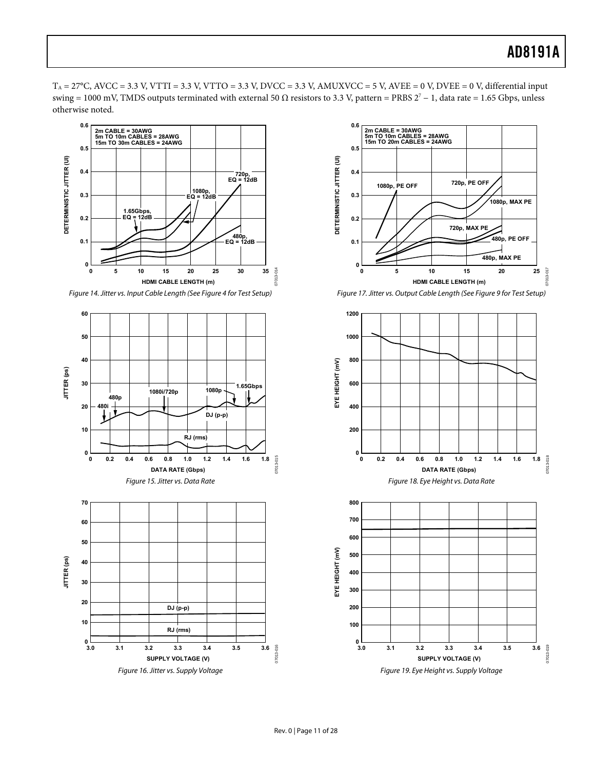$T_A = 27^{\circ}$ C, AVCC = 3.3 V, VTTI = 3.3 V, VTTO = 3.3 V, DVCC = 3.3 V, AMUXVCC = 5 V, AVEE = 0 V, DVEE = 0 V, differential input swing = 1000 mV, TMDS outputs terminated with external 50 Ω resistors to 3.3 V, pattern = PRBS  $2^7 - 1$ , data rate = 1.65 Gbps, unless otherwise noted.



Figure 14. Jitter vs. Input Cable Length (See [Figure 4](#page-8-1) for Test Setup)





Figure 17. Jitter vs. Output Cable Length (See [Figure 9](#page-9-0) for Test Setup)

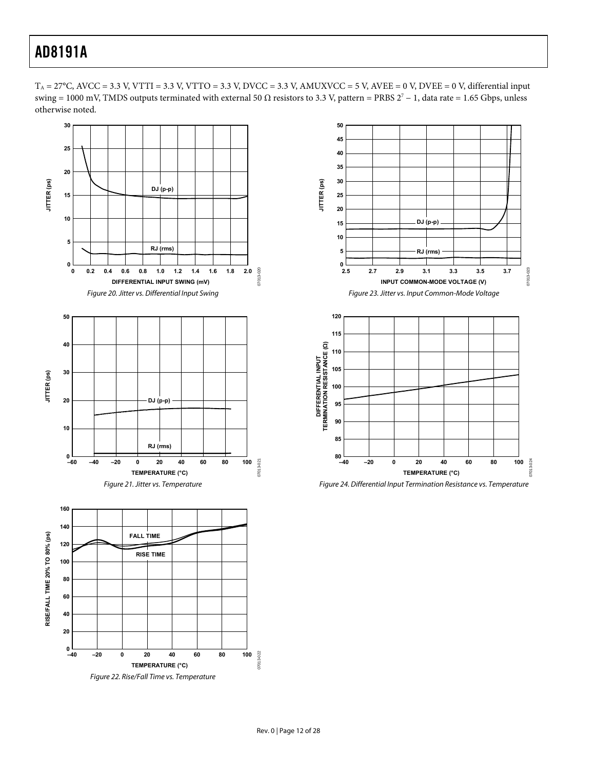$T_A = 27^{\circ}$ C, AVCC = 3.3 V, VTTI = 3.3 V, VTTO = 3.3 V, DVCC = 3.3 V, AMUXVCC = 5 V, AVEE = 0 V, DVEE = 0 V, differential input swing = 1000 mV, TMDS outputs terminated with external 50 Ω resistors to 3.3 V, pattern = PRBS  $2^7 - 1$ , data rate = 1.65 Gbps, unless otherwise noted.





Figure 24. Differential Input Termination Resistance vs. Temperature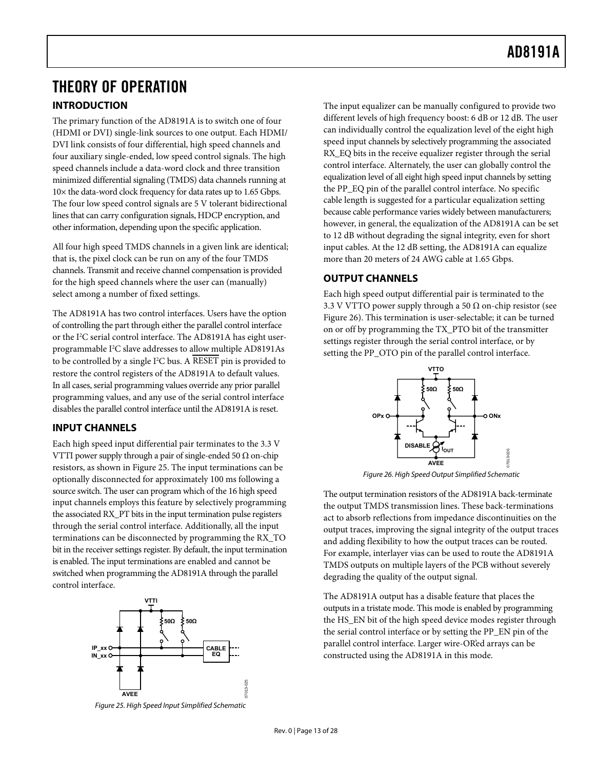## <span id="page-12-0"></span>THEORY OF OPERATION

### **INTRODUCTION**

The primary function of the AD8191A is to switch one of four (HDMI or DVI) single-link sources to one output. Each HDMI/ DVI link consists of four differential, high speed channels and four auxiliary single-ended, low speed control signals. The high speed channels include a data-word clock and three transition minimized differential signaling (TMDS) data channels running at  $10\times$  the data-word clock frequency for data rates up to 1.65 Gbps. The four low speed control signals are 5 V tolerant bidirectional lines that can carry configuration signals, HDCP encryption, and other information, depending upon the specific application.

All four high speed TMDS channels in a given link are identical; that is, the pixel clock can be run on any of the four TMDS channels. Transmit and receive channel compensation is provided for the high speed channels where the user can (manually) select among a number of fixed settings.

The AD8191A has two control interfaces. Users have the option of controlling the part through either the parallel control interface or the I<sup>2</sup>C serial control interface. The AD8191A has eight userprogrammable I2 C slave addresses to allow multiple AD8191As to be controlled by a single I<sup>2</sup>C bus. A RESET pin is provided to restore the control registers of the AD8191A to default values. In all cases, serial programming values override any prior parallel programming values, and any use of the serial control interface disables the parallel control interface until the AD8191A is reset.

### **INPUT CHANNELS**

<span id="page-12-2"></span>Each high speed input differential pair terminates to the 3.3 V VTTI power supply through a pair of single-ended 50  $\Omega$  on-chip resistors, as shown in [Figure 25](#page-12-1). The input terminations can be optionally disconnected for approximately 100 ms following a source switch. The user can program which of the 16 high speed input channels employs this feature by selectively programming the associated RX\_PT bits in the input termination pulse registers through the serial control interface. Additionally, all the input terminations can be disconnected by programming the RX\_TO bit in the receiver settings register. By default, the input termination is enabled. The input terminations are enabled and cannot be switched when programming the AD8191A through the parallel control interface.

<span id="page-12-1"></span>

The input equalizer can be manually configured to provide two different levels of high frequency boost: 6 dB or 12 dB. The user can individually control the equalization level of the eight high speed input channels by selectively programming the associated RX\_EQ bits in the receive equalizer register through the serial control interface. Alternately, the user can globally control the equalization level of all eight high speed input channels by setting the PP\_EQ pin of the parallel control interface. No specific cable length is suggested for a particular equalization setting because cable performance varies widely between manufacturers; however, in general, the equalization of the AD8191A can be set to 12 dB without degrading the signal integrity, even for short input cables. At the 12 dB setting, the AD8191A can equalize more than 20 meters of 24 AWG cable at 1.65 Gbps.

### **OUTPUT CHANNELS**

Each high speed output differential pair is terminated to the 3.3 V VTTO power supply through a 50  $\Omega$  on-chip resistor (see [Figure 26](#page-12-2)). This termination is user-selectable; it can be turned on or off by programming the TX\_PTO bit of the transmitter settings register through the serial control interface, or by setting the PP\_OTO pin of the parallel control interface.



Figure 26. High Speed Output Simplified Schematic

07013-026

The output termination resistors of the AD8191A back-terminate the output TMDS transmission lines. These back-terminations act to absorb reflections from impedance discontinuities on the output traces, improving the signal integrity of the output traces and adding flexibility to how the output traces can be routed. For example, interlayer vias can be used to route the AD8191A TMDS outputs on multiple layers of the PCB without severely degrading the quality of the output signal.

The AD8191A output has a disable feature that places the outputs in a tristate mode. This mode is enabled by programming the HS\_EN bit of the high speed device modes register through the serial control interface or by setting the PP\_EN pin of the parallel control interface. Larger wire-OR'ed arrays can be constructed using the AD8191A in this mode.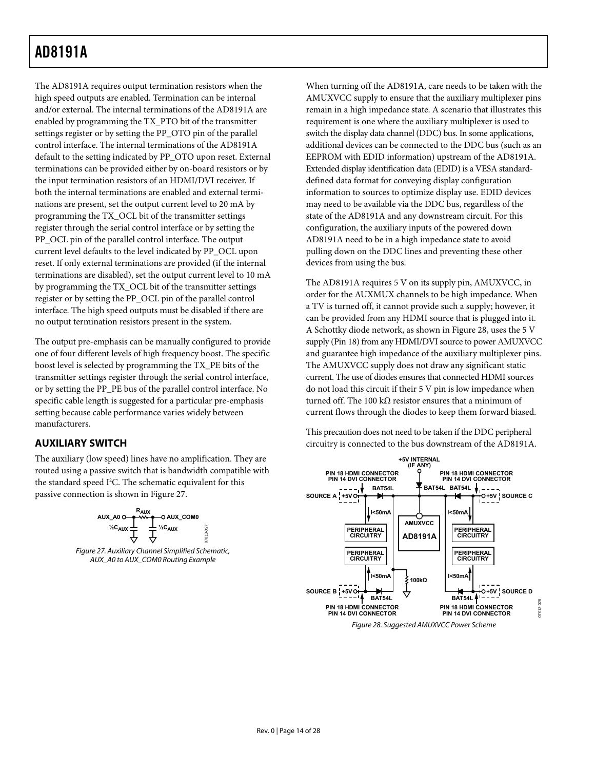<span id="page-13-0"></span>The AD8191A requires output termination resistors when the high speed outputs are enabled. Termination can be internal and/or external. The internal terminations of the AD8191A are enabled by programming the TX\_PTO bit of the transmitter settings register or by setting the PP\_OTO pin of the parallel control interface. The internal terminations of the AD8191A default to the setting indicated by PP\_OTO upon reset. External terminations can be provided either by on-board resistors or by the input termination resistors of an HDMI/DVI receiver. If both the internal terminations are enabled and external terminations are present, set the output current level to 20 mA by programming the TX\_OCL bit of the transmitter settings register through the serial control interface or by setting the PP\_OCL pin of the parallel control interface. The output current level defaults to the level indicated by PP\_OCL upon reset. If only external terminations are provided (if the internal terminations are disabled), set the output current level to 10 mA by programming the TX\_OCL bit of the transmitter settings register or by setting the PP\_OCL pin of the parallel control interface. The high speed outputs must be disabled if there are no output termination resistors present in the system.

The output pre-emphasis can be manually configured to provide one of four different levels of high frequency boost. The specific boost level is selected by programming the TX\_PE bits of the transmitter settings register through the serial control interface, or by setting the PP\_PE bus of the parallel control interface. No specific cable length is suggested for a particular pre-emphasis setting because cable performance varies widely between manufacturers.

## **AUXILIARY SWITCH**

The auxiliary (low speed) lines have no amplification. They are routed using a passive switch that is bandwidth compatible with the standard speed  $I^2C$ . The schematic equivalent for this passive connection is shown in [Figure 27](#page-13-1).



<span id="page-13-2"></span><span id="page-13-1"></span>AUX\_A0 to AUX\_COM0 Routing Example

When turning off the AD8191A, care needs to be taken with the AMUXVCC supply to ensure that the auxiliary multiplexer pins remain in a high impedance state. A scenario that illustrates this requirement is one where the auxiliary multiplexer is used to switch the display data channel (DDC) bus. In some applications, additional devices can be connected to the DDC bus (such as an EEPROM with EDID information) upstream of the AD8191A. Extended display identification data (EDID) is a VESA standarddefined data format for conveying display configuration information to sources to optimize display use. EDID devices may need to be available via the DDC bus, regardless of the state of the AD8191A and any downstream circuit. For this configuration, the auxiliary inputs of the powered down AD8191A need to be in a high impedance state to avoid pulling down on the DDC lines and preventing these other devices from using the bus.

The AD8191A requires 5 V on its supply pin, AMUXVCC, in order for the AUXMUX channels to be high impedance. When a TV is turned off, it cannot provide such a supply; however, it can be provided from any HDMI source that is plugged into it. A Schottky diode network, as shown in [Figure 28,](#page-13-2) uses the 5 V supply (Pin 18) from any HDMI/DVI source to power AMUXVCC and guarantee high impedance of the auxiliary multiplexer pins. The AMUXVCC supply does not draw any significant static current. The use of diodes ensures that connected HDMI sources do not load this circuit if their 5 V pin is low impedance when turned off. The 100 kΩ resistor ensures that a minimum of current flows through the diodes to keep them forward biased.

This precaution does not need to be taken if the DDC peripheral circuitry is connected to the bus downstream of the AD8191A.



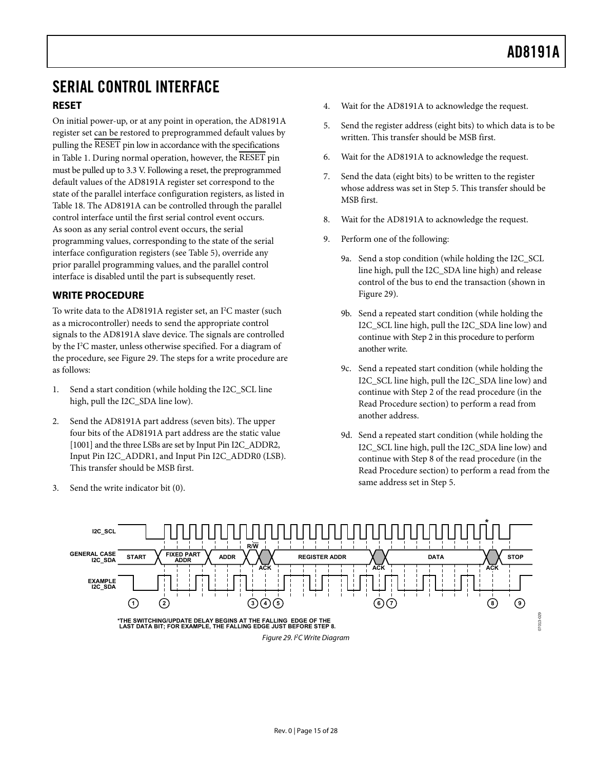## <span id="page-14-3"></span><span id="page-14-0"></span>SERIAL CONTROL INTERFACE

### **RESET**

On initial power-up, or at any point in operation, the AD8191A register set can be restored to preprogrammed default values by pulling the RESET pin low in accordance with the specifications in [Table 1](#page-2-1). During normal operation, however, the RESET pin must be pulled up to 3.3 V. Following a reset, the preprogrammed default values of the AD8191A register set correspond to the state of the parallel interface configuration registers, as listed in [Table 18](#page-19-1). The AD8191A can be controlled through the parallel control interface until the first serial control event occurs. As soon as any serial control event occurs, the serial programming values, corresponding to the state of the serial interface configuration registers (see [Table 5](#page-17-1)), override any prior parallel programming values, and the parallel control interface is disabled until the part is subsequently reset.

### <span id="page-14-2"></span>**WRITE PROCEDURE**

To write data to the AD8191A register set, an  $I^2C$  master (such as a microcontroller) needs to send the appropriate control signals to the AD8191A slave device. The signals are controlled by the I<sup>2</sup>C master, unless otherwise specified. For a diagram of the procedure, see [Figure 29](#page-14-1). The steps for a write procedure are as follows:

- 1. Send a start condition (while holding the I2C\_SCL line high, pull the I2C\_SDA line low).
- 2. Send the AD8191A part address (seven bits). The upper four bits of the AD8191A part address are the static value [1001] and the three LSBs are set by Input Pin I2C\_ADDR2, Input Pin I2C\_ADDR1, and Input Pin I2C\_ADDR0 (LSB). This transfer should be MSB first.
- 3. Send the write indicator bit (0).
- 4. Wait for the AD8191A to acknowledge the request.
- 5. Send the register address (eight bits) to which data is to be written. This transfer should be MSB first.
- 6. Wait for the AD8191A to acknowledge the request.
- 7. Send the data (eight bits) to be written to the register whose address was set in Step 5. This transfer should be MSB first.
- 8. Wait for the AD8191A to acknowledge the request.
- 9. Perform one of the following:
	- 9a. Send a stop condition (while holding the I2C\_SCL line high, pull the I2C\_SDA line high) and release control of the bus to end the transaction (shown in [Figure 29](#page-14-1)).
	- 9b. Send a repeated start condition (while holding the I2C\_SCL line high, pull the I2C\_SDA line low) and continue with Step 2 in this procedure to perform another write.
	- 9c. Send a repeated start condition (while holding the I2C\_SCL line high, pull the I2C\_SDA line low) and continue with Step 2 of the read procedure (in the [Read Procedure](#page-15-1) section) to perform a read from another address.
	- 9d. Send a repeated start condition (while holding the I2C\_SCL line high, pull the I2C\_SDA line low) and continue with Step 8 of the read procedure (in the [Read Procedure](#page-15-1) section) to perform a read from the same address set in Step 5.

<span id="page-14-1"></span>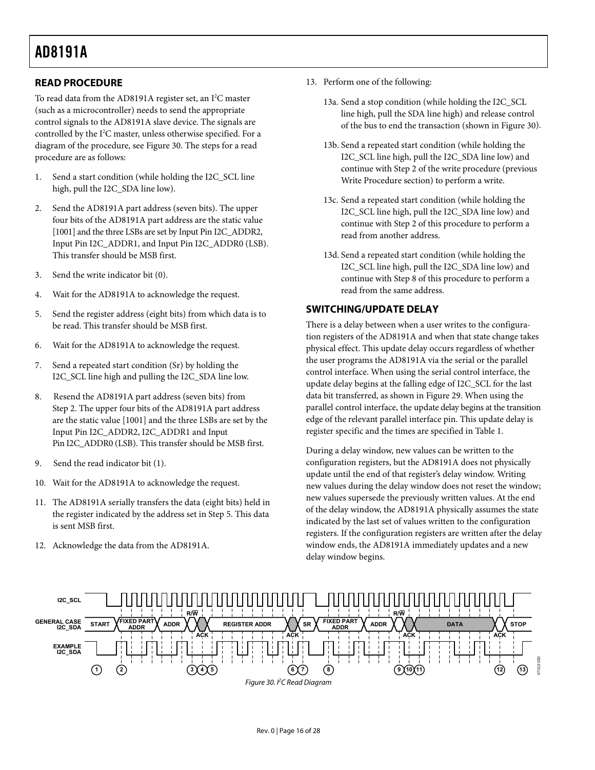### <span id="page-15-1"></span><span id="page-15-0"></span>**READ PROCEDURE**

To read data from the AD8191A register set, an I<sup>2</sup>C master (such as a microcontroller) needs to send the appropriate control signals to the AD8191A slave device. The signals are controlled by the I<sup>2</sup>C master, unless otherwise specified. For a diagram of the procedure, see [Figure 30](#page-15-2). The steps for a read procedure are as follows:

- 1. Send a start condition (while holding the I2C\_SCL line high, pull the I2C\_SDA line low).
- 2. Send the AD8191A part address (seven bits). The upper four bits of the AD8191A part address are the static value [1001] and the three LSBs are set by Input Pin I2C\_ADDR2, Input Pin I2C\_ADDR1, and Input Pin I2C\_ADDR0 (LSB). This transfer should be MSB first.
- 3. Send the write indicator bit (0).
- 4. Wait for the AD8191A to acknowledge the request.
- 5. Send the register address (eight bits) from which data is to be read. This transfer should be MSB first.
- 6. Wait for the AD8191A to acknowledge the request.
- 7. Send a repeated start condition (Sr) by holding the I2C\_SCL line high and pulling the I2C\_SDA line low.
- 8. Resend the AD8191A part address (seven bits) from Step 2. The upper four bits of the AD8191A part address are the static value [1001] and the three LSBs are set by the Input Pin I2C\_ADDR2, I2C\_ADDR1 and Input Pin I2C\_ADDR0 (LSB). This transfer should be MSB first.
- 9. Send the read indicator bit (1).
- 10. Wait for the AD8191A to acknowledge the request.
- 11. The AD8191A serially transfers the data (eight bits) held in the register indicated by the address set in Step 5. This data is sent MSB first.
- 12. Acknowledge the data from the AD8191A.
- 13. Perform one of the following:
	- 13a. Send a stop condition (while holding the I2C\_SCL of the bus to end the transaction (shown in [Figure 30](#page-15-2)). line high, pull the SDA line high) and release control
	- 13b. [Send a repe](#page-15-2)ated start condition (while holding the I2C\_SCL line high, pull the I2C\_SDA line low) and continue with Step 2 of the write procedure (previous [Write Procedure](#page-14-2) section) to perform a write.
	- 13c. Send a repeated start condition (while holding the I2C\_SCL line high, pull the I2C\_SDA line low) and continue with Step 2 of this procedure to perform a read from another address.
	- 13d. Send a repeated start condition (while holding the I2C\_SCL line high, pull the I2C\_SDA line low) and continue with Step 8 of this procedure to perform a read from the same address.

### **SWITCH ING/UPDATE DELAY**

There is a delay between when a user writes to the configuration registers of the AD8191A and when that state change takes parallel control interface, the update delay begins at the transition physical effect. This update delay occurs regardless of whether the user programs the AD8191A via the serial or the parallel control interface. When using the serial control interface, the update delay begins at the falling edge of I2C\_SCL for the last data bit transferred, as shown in [Figure 29](#page-14-1). When using the edge of the relevant parallel interface pin. This update delay is register specific and the times are specified in [Table 1](#page-2-1).

During a delay window, new values can be written to the configuration registers, but the AD8191A does not physically new values during the delay window does not reset the window; update until the end of that register's delay window. Writing new values supersede the previously written values. At the end of the delay window, the AD8191A physically assumes the state indicated by the last set of values written to the configuration registers. If the configuration registers are written after the delay window ends, the AD8191A immediately updates and a new delay window begins.

<span id="page-15-2"></span>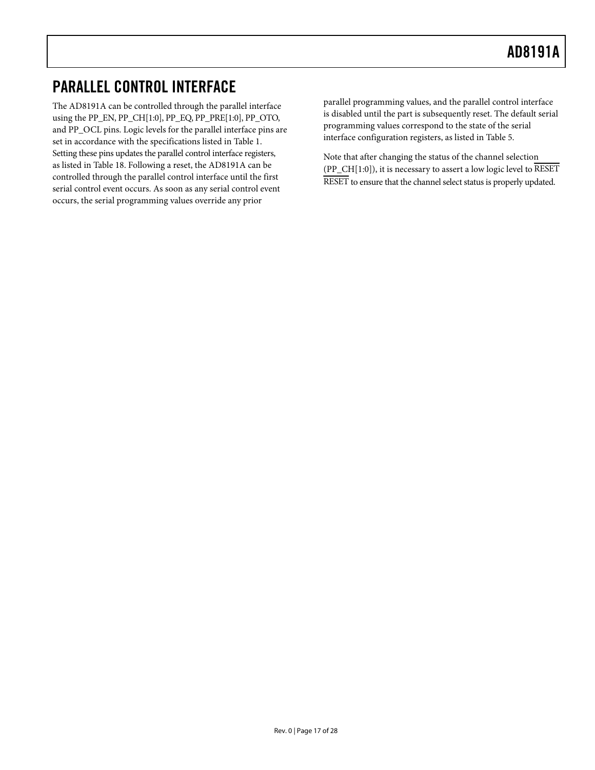## <span id="page-16-0"></span>PARALLEL CONTROL INTERFACE

The AD8191A can be controlled through the parallel interface using the PP\_EN, PP\_CH[1:0], PP\_EQ, PP\_PRE[1:0], PP\_OTO, and PP\_OCL pins. Logic levels for the parallel interface pins are set in accordance with the specifications listed in [Table 1](#page-2-1). Setting these pins updates the parallel control interface registers, as listed in [Table 18](#page-19-1). Following a reset, the AD8191A can be controlled through the parallel control interface until the first serial control event occurs. As soon as any serial control event occurs, the serial programming values override any prior

parallel programming values, and the parallel control interface is disabled until the part is subsequently reset. The default serial programming values correspond to the state of the serial interface configuration registers, as listed in [Table 5](#page-17-1).

Note that after changing the status of the channel selection (PP\_CH[1:0]), it is necessary to assert a low logic level to RESET RESET to ensure that the channel select status is properly updated.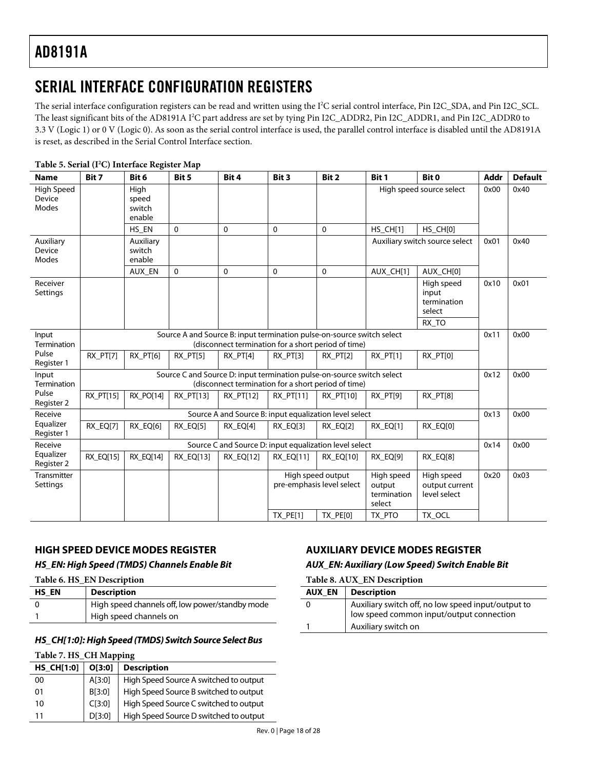## <span id="page-17-0"></span>SERIAL INTERFACE CONFIGURATION REGISTERS

The serial interface configuration registers can be read and written using the I<sup>2</sup>C serial control interface, Pin I2C\_SDA, and Pin I2C\_SCL. The least significant bits of the AD8191A I<sup>2</sup>C part address are set by tying Pin I2C\_ADDR2, Pin I2C\_ADDR1, and Pin I2C\_ADDR0 to 3.3 V (Logic 1) or 0 V (Logic 0). As soon as the serial control interface is used, the parallel control interface is disabled until the AD8191A is reset, as described in the [Serial Control Interface](#page-14-3) section.

<span id="page-17-1"></span>

| <b>Name</b>                   | Bit 7     | Bit 6                             | Bit 5                                                                  | Bit 4       | Bit 3                                                  | Bit 2                                          | Bit 1                                         | Bit 0                                        | <b>Addr</b> | <b>Default</b> |
|-------------------------------|-----------|-----------------------------------|------------------------------------------------------------------------|-------------|--------------------------------------------------------|------------------------------------------------|-----------------------------------------------|----------------------------------------------|-------------|----------------|
| High Speed<br>Device<br>Modes |           | High<br>speed<br>switch<br>enable |                                                                        |             |                                                        |                                                |                                               | High speed source select                     | 0x00        | 0x40           |
|                               |           | HS_EN                             | $\Omega$                                                               | $\mathbf 0$ | 0                                                      | $\mathbf{0}$                                   | HS CH[1]                                      | HS_CH[0]                                     |             |                |
| Auxiliary<br>Device<br>Modes  |           | Auxiliary<br>switch<br>enable     |                                                                        |             |                                                        |                                                |                                               | Auxiliary switch source select               | 0x01        | 0x40           |
|                               |           | AUX_EN                            | 0                                                                      | 0           | $\mathbf{0}$                                           | $\Omega$                                       | AUX_CH[1]                                     | AUX_CH[0]                                    |             |                |
| Receiver<br>Settings          |           |                                   |                                                                        |             |                                                        |                                                |                                               | High speed<br>input<br>termination<br>select | 0x10        | 0x01           |
|                               |           |                                   |                                                                        |             |                                                        |                                                |                                               | RX TO                                        |             |                |
| Input<br><b>Termination</b>   |           |                                   | Source A and Source B: input termination pulse-on-source switch select |             | (disconnect termination for a short period of time)    |                                                |                                               |                                              | 0x11        | 0x00           |
| Pulse<br>Register 1           | RX_PT[7]  | RX_PT[6]                          | RX_PT[5]                                                               | RX PT[4]    | RX_PT[3]                                               | RX PT[2]                                       | RX PT[1]                                      | RX_PT[0]                                     |             |                |
| Input<br>Termination          |           |                                   | Source C and Source D: input termination pulse-on-source switch select |             | (disconnect termination for a short period of time)    |                                                |                                               |                                              | 0x12        | 0x00           |
| Pulse<br>Register 2           | RX_PT[15] | RX PO[14]                         | RX PT[13]                                                              | RX PT[12]   | <b>RX PT[11]</b>                                       | RX PT[10]                                      | RX PT[9]                                      | RX PT[8]                                     |             |                |
| Receive                       |           |                                   |                                                                        |             | Source A and Source B: input equalization level select |                                                |                                               |                                              | 0x13        | 0x00           |
| Equalizer<br>Register 1       | RX_EQ[7]  | RX_EQ[6]                          | RX EQ[5]                                                               | RX EQ[4]    | RX EQ[3]                                               | RX EQ[2]                                       | RX EQ[1]                                      | RX EQ[0]                                     |             |                |
| Receive                       |           |                                   |                                                                        |             | Source C and Source D: input equalization level select |                                                |                                               |                                              | 0x14        | 0x00           |
| Equalizer<br>Register 2       | RX_EQ[15] | RX EQ[14]                         | <b>RX EQ[13]</b>                                                       | RX_EQ[12]   | <b>RX EQ[11]</b>                                       | <b>RX EQ[10]</b>                               | RX EQ[9]                                      | RX EQ[8]                                     |             |                |
| Transmitter<br>Settings       |           |                                   |                                                                        |             |                                                        | High speed output<br>pre-emphasis level select | High speed<br>output<br>termination<br>select | High speed<br>output current<br>level select | 0x20        | 0x03           |
|                               |           |                                   |                                                                        |             | TX_PE[1]                                               | <b>TX_PE[0]</b>                                | TX PTO                                        | TX_OCL                                       |             |                |

#### Table 5. Serial (I<sup>2</sup>C) Interface Register Map

#### **HIGH SPEED DEVICE MODES REGISTER**

#### **HS\_EN: High Speed (TMDS) Channels Enable Bit**

**Table 6. HS\_EN Description** 

| <b>HS EN</b> | <b>Description</b>                              |
|--------------|-------------------------------------------------|
|              | High speed channels off, low power/standby mode |
|              | High speed channels on                          |

#### **HS\_CH[1:0]: High Speed (TMDS) Switch Source Select Bus**

#### **Table 7. HS\_CH Mapping**

| <b>HS_CH[1:0]</b> | O[3:0] | <b>Description</b>                     |
|-------------------|--------|----------------------------------------|
| 00                | A[3:0] | High Speed Source A switched to output |
| 01                | B[3:0] | High Speed Source B switched to output |
| 10                | CI3:0  | High Speed Source C switched to output |
| 11                | D[3:0] | High Speed Source D switched to output |

### **AUXILIARY DEVICE MODES REGISTER**

#### **AUX\_EN: Auxiliary (Low Speed) Switch Enable Bit**

| Table 8. AUX_EN Description |                                                                                                |  |  |  |  |  |
|-----------------------------|------------------------------------------------------------------------------------------------|--|--|--|--|--|
| <b>AUX EN</b>               | <b>Description</b>                                                                             |  |  |  |  |  |
| 0                           | Auxiliary switch off, no low speed input/output to<br>low speed common input/output connection |  |  |  |  |  |
|                             | Auxiliary switch on                                                                            |  |  |  |  |  |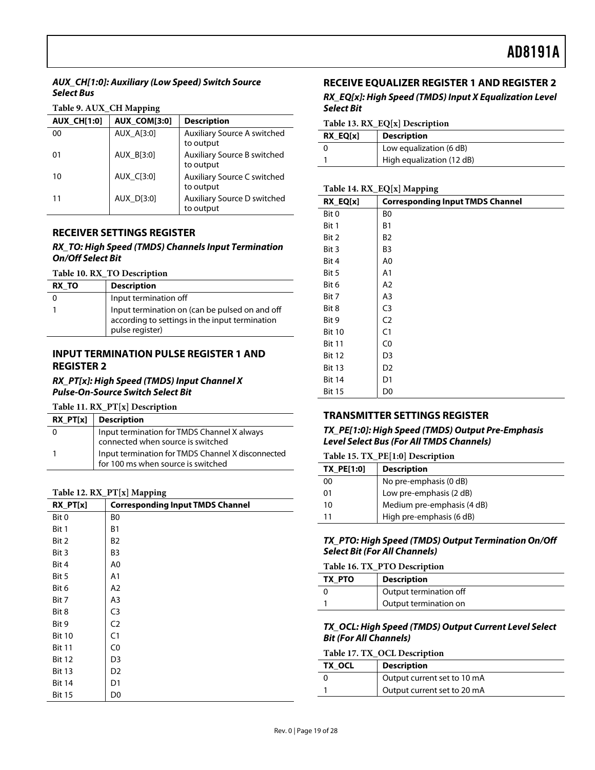### <span id="page-18-0"></span>**AUX\_CH[1:0]: Auxiliary (Low Speed) Switch Source Select Bus**

#### **Table 9. AUX\_CH Mapping**

| <b>AUX CH[1:0]</b> | <b>AUX COM[3:0]</b> | <b>Description</b>                              |
|--------------------|---------------------|-------------------------------------------------|
| 00                 | AUX A[3:0]          | <b>Auxiliary Source A switched</b><br>to output |
| 01                 | AUX B[3:0]          | Auxiliary Source B switched<br>to output        |
| 10                 | AUX C[3:0]          | Auxiliary Source C switched<br>to output        |
| 11                 | AUX D[3:0]          | Auxiliary Source D switched<br>to output        |

### **RECEIVER SETTINGS REGISTER**

#### **RX\_TO: High Speed (TMDS) Channels Input Termination On/Off Select Bit**

**Table 10. RX\_TO Description** 

| RX TO | <b>Description</b>                                                                                                  |  |  |
|-------|---------------------------------------------------------------------------------------------------------------------|--|--|
|       | Input termination off                                                                                               |  |  |
|       | Input termination on (can be pulsed on and off<br>according to settings in the input termination<br>pulse register) |  |  |

### **INPUT TERMINATION PULSE REGISTER 1 AND REGISTER 2**

#### **RX\_PT[x]: High Speed (TMDS) Input Channel X Pulse-On-Source Switch Select Bit**

**Table 11. RX\_PT[x] Description** 

| $RX$ PT[x] Description                                                                  |
|-----------------------------------------------------------------------------------------|
| Input termination for TMDS Channel X always<br>connected when source is switched        |
| Input termination for TMDS Channel X disconnected<br>for 100 ms when source is switched |

#### **Table 12. RX\_PT[x] Mapping**

| RX_PT[x]      | <b>Corresponding Input TMDS Channel</b> |
|---------------|-----------------------------------------|
| Bit 0         | B0                                      |
| Bit 1         | <b>B1</b>                               |
| Bit 2         | B <sub>2</sub>                          |
| Bit 3         | B <sub>3</sub>                          |
| Bit 4         | A0                                      |
| Bit 5         | A1                                      |
| Bit 6         | A2                                      |
| Bit 7         | A3                                      |
| Bit 8         | C <sub>3</sub>                          |
| Bit 9         | C <sub>2</sub>                          |
| <b>Bit 10</b> | C <sub>1</sub>                          |
| <b>Bit 11</b> | C0                                      |
| <b>Bit 12</b> | D <sub>3</sub>                          |
| <b>Bit 13</b> | D <sub>2</sub>                          |
| <b>Bit 14</b> | D <sub>1</sub>                          |
| <b>Bit 15</b> | D0                                      |

## **RECEIVE EQUALIZER REGISTER 1 AND REGISTER 2**

#### **RX\_EQ[x]: High Speed (TMDS) Input X Equalization Level Select Bit**

#### **Table 13. RX\_EQ[x] Description**

| RX EQ[x] | <b>Description</b>        |  |
|----------|---------------------------|--|
|          | Low equalization (6 dB)   |  |
|          | High equalization (12 dB) |  |

### **Table 14. RX\_EQ[x] Mapping**

| RX_EQ[x]      | <b>Corresponding Input TMDS Channel</b> |
|---------------|-----------------------------------------|
| Bit 0         | B0                                      |
| Bit 1         | <b>B1</b>                               |
| Bit 2         | B2                                      |
| Bit 3         | B3                                      |
| Bit 4         | A0                                      |
| Bit 5         | A <sub>1</sub>                          |
| Bit 6         | A <sub>2</sub>                          |
| Bit 7         | A <sub>3</sub>                          |
| Bit 8         | C <sub>3</sub>                          |
| Bit 9         | C <sub>2</sub>                          |
| <b>Bit 10</b> | C <sub>1</sub>                          |
| <b>Bit 11</b> | C <sub>0</sub>                          |
| <b>Bit 12</b> | D3                                      |
| <b>Bit 13</b> | D <sub>2</sub>                          |
| <b>Bit 14</b> | D1                                      |
| <b>Bit 15</b> | D0                                      |

### **TRANSMITTER SETTINGS REGISTER**

**TX\_PE[1:0]: High Speed (TMDS) Output Pre-Emphasis Level Select Bus (For All TMDS Channels)** 

#### **Table 15. TX\_PE[1:0] Description**

| <b>TX PE[1:0]</b> | <b>Description</b>         |  |  |
|-------------------|----------------------------|--|--|
| 00                | No pre-emphasis (0 dB)     |  |  |
| 01                | Low pre-emphasis (2 dB)    |  |  |
| 10                | Medium pre-emphasis (4 dB) |  |  |
|                   | High pre-emphasis (6 dB)   |  |  |

#### **TX\_PTO: High Speed (TMDS) Output Termination On/Off Select Bit (For All Channels)**

#### **Table 16. TX\_PTO Description**

| TX PTO<br><b>Description</b> |                        |
|------------------------------|------------------------|
|                              | Output termination off |
|                              | Output termination on  |

#### **TX\_OCL: High Speed (TMDS) Output Current Level Select Bit (For All Channels)**

#### **Table 17. TX\_OCL Description**

| TX OCL | Description                 |  |
|--------|-----------------------------|--|
|        | Output current set to 10 mA |  |
|        | Output current set to 20 mA |  |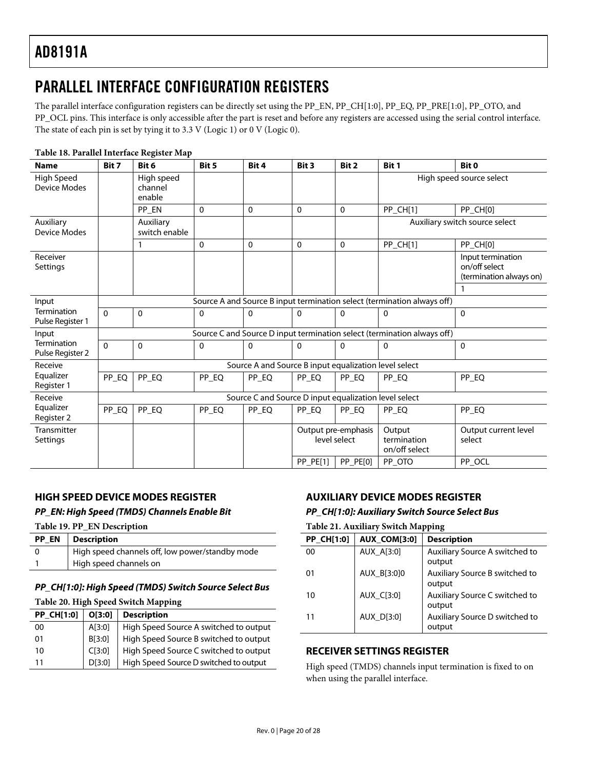## <span id="page-19-0"></span>PARALLEL INTERFACE CONFIGURATION REGISTERS

The parallel interface configuration registers can be directly set using the PP\_EN, PP\_CH[1:0], PP\_EQ, PP\_PRE[1:0], PP\_OTO, and PP\_OCL pins. This interface is only accessible after the part is reset and before any registers are accessed using the serial control interface. The state of each pin is set by tying it to 3.3 V (Logic 1) or 0 V (Logic 0).

<span id="page-19-1"></span>

| <b>Name</b>                      | Bit 7                                                                   | Bit 6                           | Bit 5    | Bit 4        | Bit 3    | Bit 2                               | Bit 1                                  | Bit 0                                                         |
|----------------------------------|-------------------------------------------------------------------------|---------------------------------|----------|--------------|----------|-------------------------------------|----------------------------------------|---------------------------------------------------------------|
| High Speed<br>Device Modes       |                                                                         | High speed<br>channel<br>enable |          |              |          |                                     |                                        | High speed source select                                      |
|                                  |                                                                         | PP_EN                           | $\Omega$ | $\mathbf{0}$ | $\Omega$ | 0                                   | PP_CH[1]                               | PP_CH[0]                                                      |
| Auxiliary<br><b>Device Modes</b> |                                                                         | Auxiliary<br>switch enable      |          |              |          |                                     |                                        | Auxiliary switch source select                                |
|                                  |                                                                         | $\mathbf{1}$                    | $\Omega$ | $\mathbf{0}$ | $\Omega$ | 0                                   | PP_CH[1]                               | PP_CH[0]                                                      |
| Receiver<br>Settings             |                                                                         |                                 |          |              |          |                                     |                                        | Input termination<br>on/off select<br>(termination always on) |
|                                  |                                                                         |                                 |          |              |          |                                     |                                        |                                                               |
| Input                            | Source A and Source B input termination select (termination always off) |                                 |          |              |          |                                     |                                        |                                                               |
| Termination<br>Pulse Register 1  | $\Omega$                                                                | $\mathbf{0}$                    | 0        | $\Omega$     | $\Omega$ | 0                                   | 0                                      | $\Omega$                                                      |
| Input                            | Source C and Source D input termination select (termination always off) |                                 |          |              |          |                                     |                                        |                                                               |
| Termination<br>Pulse Register 2  | $\Omega$                                                                | $\mathbf{0}$                    | $\Omega$ | $\Omega$     | $\Omega$ | 0                                   | $\Omega$                               | $\Omega$                                                      |
| Receive                          | Source A and Source B input equalization level select                   |                                 |          |              |          |                                     |                                        |                                                               |
| Equalizer<br>Register 1          | PP_EQ                                                                   | PP_EQ                           | PP_EQ    | PP_EQ        | PP_EQ    | PP_EQ                               | PP_EQ                                  | PP_EQ                                                         |
| Receive                          | Source C and Source D input equalization level select                   |                                 |          |              |          |                                     |                                        |                                                               |
| Equalizer<br>Register 2          | PP_EQ                                                                   | PP_EQ                           | PP_EQ    | PP_EQ        | PP_EQ    | PP EQ                               | PP_EQ                                  | PP_EQ                                                         |
| Transmitter<br>Settings          |                                                                         |                                 |          |              |          | Output pre-emphasis<br>level select | Output<br>termination<br>on/off select | Output current level<br>select                                |
|                                  |                                                                         |                                 |          |              | PP_PE[1] | PP_PE[0]                            | PP_OTO                                 | PP_OCL                                                        |

#### **Table 18. Parallel Interface Register Map**

## **HIGH SPEED DEVICE MODES REGISTER**

### **PP\_EN: High Speed (TMDS) Channels Enable Bit**

**Table 19. PP\_EN Description** 

| <b>PP EN</b> Description                        |
|-------------------------------------------------|
| High speed channels off, low power/standby mode |
| High speed channels on                          |

### **PP\_CH[1:0]: High Speed (TMDS) Switch Source Select Bus**

#### **Table 20. High Speed Switch Mapping**

| <b>PP_CH[1:0]</b> | O[3:0] | <b>Description</b>                     |
|-------------------|--------|----------------------------------------|
| 00                | A[3:0] | High Speed Source A switched to output |
| 01                | B[3:0] | High Speed Source B switched to output |
| 10                | CI3:0  | High Speed Source C switched to output |
| 11                | D[3:0] | High Speed Source D switched to output |

## **AUXILIARY DEVICE MODES REGISTER**

#### **PP\_CH[1:0]: Auxiliary Switch Source Select Bus**

#### **Table 21. Auxiliary Switch Mapping**

| <b>PP CH[1:0]</b> | <b>AUX COM[3:0]</b> | <b>Description</b>                       |
|-------------------|---------------------|------------------------------------------|
| 00                | AUX A[3:0]          | Auxiliary Source A switched to<br>output |
| 01                | AUX B[3:0]0         | Auxiliary Source B switched to<br>output |
| 10                | AUX C[3:0]          | Auxiliary Source C switched to<br>output |
| 11                | AUX D[3:0]          | Auxiliary Source D switched to<br>output |

#### **RECEIVER SETTINGS REGISTER**

High speed (TMDS) channels input termination is fixed to on when using the parallel interface.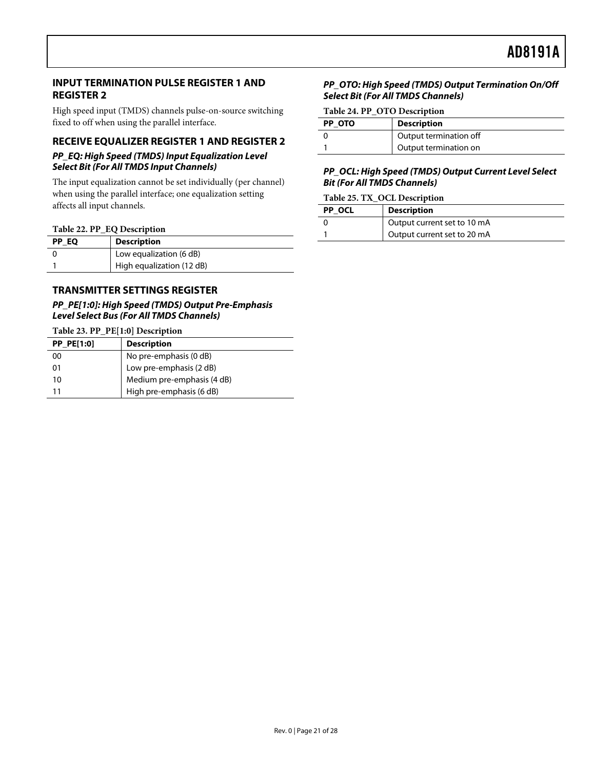### <span id="page-20-0"></span>**INPUT TERMINATION PULSE REGISTER 1 AND REGISTER 2**

High speed input (TMDS) channels pulse-on-source switching fixed to off when using the parallel interface.

### **RECEIVE EQUALIZER REGISTER 1 AND REGISTER 2 PP\_EQ: High Speed (TMDS) Input Equalization Level**

## **Select Bit (For All TMDS Input Channels)**

The input equalization cannot be set individually (per channel) when using the parallel interface; one equalization setting affects all input channels.

#### **Table 22. PP\_EQ Description**

| PP EQ | <b>Description</b>        |  |
|-------|---------------------------|--|
|       | Low equalization (6 dB)   |  |
|       | High equalization (12 dB) |  |

### **TRANSMITTER SETTINGS REGISTER**

#### **PP\_PE[1:0]: High Speed (TMDS) Output Pre-Emphasis Level Select Bus (For All TMDS Channels)**

**Table 23. PP\_PE[1:0] Description** 

| <b>PP PE[1:0]</b> | <b>Description</b>         |  |
|-------------------|----------------------------|--|
| 00                | No pre-emphasis (0 dB)     |  |
| 01                | Low pre-emphasis (2 dB)    |  |
| 10                | Medium pre-emphasis (4 dB) |  |
|                   | High pre-emphasis (6 dB)   |  |

#### **PP\_OTO: High Speed (TMDS) Output Termination On/Off Select Bit (For All TMDS Channels)**

#### **Table 24. PP\_OTO Description**

| PP OTO | <b>Description</b>     |
|--------|------------------------|
|        | Output termination off |
|        | Output termination on  |

#### **PP\_OCL: High Speed (TMDS) Output Current Level Select Bit (For All TMDS Channels)**

#### **Table 25. TX\_OCL Description**

| PP OCL | <b>Description</b>          |  |
|--------|-----------------------------|--|
|        | Output current set to 10 mA |  |
|        | Output current set to 20 mA |  |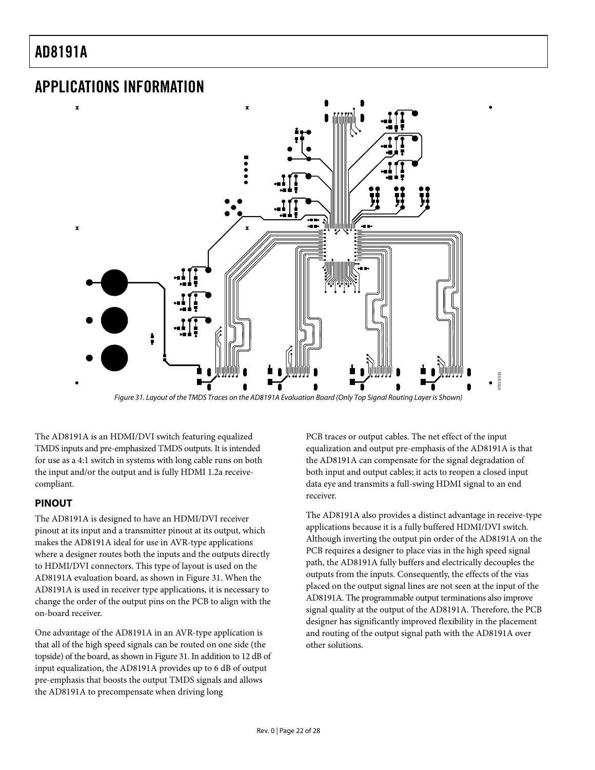$\overline{\mathbf{x}}$ 

 $\mathbf{r}$ 

## <span id="page-21-0"></span>APPLICATIONS INFORMATION



Figure 31. Layout of the TMDS Traces on the AD8191A Evaluation Board (Only Top Signal Routing Layer is Shown)

<span id="page-21-1"></span>The AD8191A is an HDMI/DVI switch featuring equalized TMDS inputs and pre-emphasized TMDS outputs. It is intended for use as a 4:1 switch in systems with long cable runs on both the input and/or the output and is fully HDMI 1.2a receivecompliant.

### **PINOUT**

The AD8191A is designed to have an HDMI/DVI receiver pinout at its input and a transmitter pinout at its output, which makes the AD8191A ideal for use in AVR-type applications where a designer routes both the inputs and the outputs directly to HDMI/DVI connectors. This type of layout is used on the AD8191A evaluation board, as shown in [Figure 31](#page-21-1). When the AD8191A is used in receiver type applications, it is necessary to change the order of the output pins on the PCB to align with the on-board receiver.

One advantage of the AD8191A in an AVR-type application is that all of the high speed signals can be routed on one side (the topside) of the board, as shown in [Figure 31](#page-21-1). In addition to 12 dB of input equalization, the AD8191A provides up to 6 dB of output pre-emphasis that boosts the output TMDS signals and allows the AD8191A to precompensate when driving long

PCB traces or output cables. The net effect of the input equalization and output pre-emphasis of the AD8191A is that the AD8191A can compensate for the signal degradation of both input and output cables; it acts to reopen a closed input data eye and transmits a full-swing HDMI signal to an end receiver.

The AD8191A also provides a distinct advantage in receive-type applications because it is a fully buffered HDMI/DVI switch. Although inverting the output pin order of the AD8191A on the PCB requires a designer to place vias in the high speed signal path, the AD8191A fully buffers and electrically decouples the outputs from the inputs. Consequently, the effects of the vias placed on the output signal lines are not seen at the input of the AD8191A. The programmable output terminations also improve signal quality at the output of the AD8191A. Therefore, the PCB designer has significantly improved flexibility in the placement and routing of the output signal path with the AD8191A over other solutions.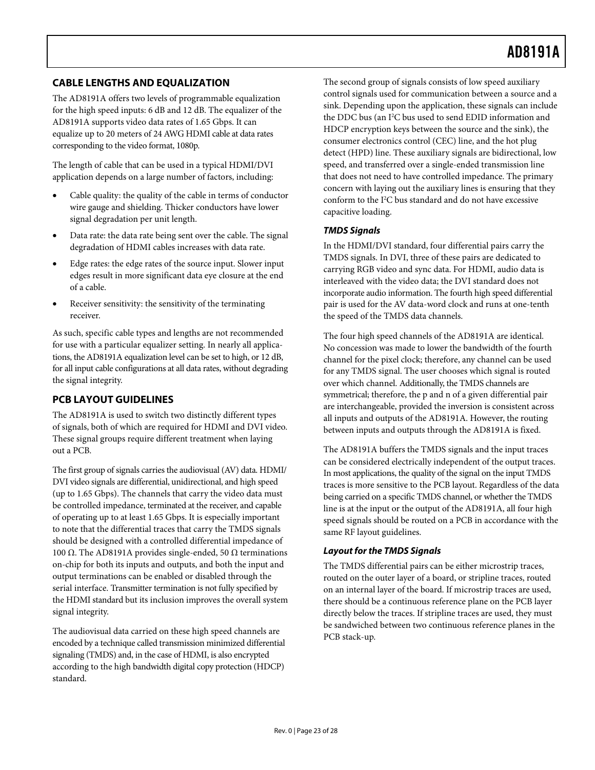## <span id="page-22-0"></span>**CABLE LENGTHS AND EQUALIZATION**

The AD8191A offers two levels of programmable equalization for the high speed inputs: 6 dB and 12 dB. The equalizer of the AD8191A supports video data rates of 1.65 Gbps. It can equalize up to 20 meters of 24 AWG HDMI cable at data rates corresponding to the video format, 1080p.

The length of cable that can be used in a typical HDMI/DVI application depends on a large number of factors, including:

- Cable quality: the quality of the cable in terms of conductor wire gauge and shielding. Thicker conductors have lower signal degradation per unit length.
- Data rate: the data rate being sent over the cable. The signal degradation of HDMI cables increases with data rate.
- Edge rates: the edge rates of the source input. Slower input edges result in more significant data eye closure at the end of a cable.
- Receiver sensitivity: the sensitivity of the terminating receiver.

As such, specific cable types and lengths are not recommended for use with a particular equalizer setting. In nearly all applications, the AD8191A equalization level can be set to high, or 12 dB, for all input cable configurations at all data rates, without degrading the signal integrity.

## **PCB LAYOUT GUIDELINES**

The AD8191A is used to switch two distinctly different types of signals, both of which are required for HDMI and DVI video. These signal groups require different treatment when laying out a PCB.

The first group of signals carries the audiovisual (AV) data. HDMI/ DVI video signals are differential, unidirectional, and high speed (up to 1.65 Gbps). The channels that carry the video data must be controlled impedance, terminated at the receiver, and capable of operating up to at least 1.65 Gbps. It is especially important to note that the differential traces that carry the TMDS signals should be designed with a controlled differential impedance of 100 Ω. The AD8191A provides single-ended, 50 Ω terminations on-chip for both its inputs and outputs, and both the input and output terminations can be enabled or disabled through the serial interface. Transmitter termination is not fully specified by the HDMI standard but its inclusion improves the overall system signal integrity.

The audiovisual data carried on these high speed channels are encoded by a technique called transmission minimized differential signaling (TMDS) and, in the case of HDMI, is also encrypted according to the high bandwidth digital copy protection (HDCP) standard.

The second group of signals consists of low speed auxiliary control signals used for communication between a source and a sink. Depending upon the application, these signals can include the DDC bus (an I<sup>2</sup>C bus used to send EDID information and HDCP encryption keys between the source and the sink), the consumer electronics control (CEC) line, and the hot plug detect (HPD) line. These auxiliary signals are bidirectional, low speed, and transferred over a single-ended transmission line that does not need to have controlled impedance. The primary concern with laying out the auxiliary lines is ensuring that they conform to the I2 C bus standard and do not have excessive capacitive loading.

### **TMDS Signals**

In the HDMI/DVI standard, four differential pairs carry the TMDS signals. In DVI, three of these pairs are dedicated to carrying RGB video and sync data. For HDMI, audio data is interleaved with the video data; the DVI standard does not incorporate audio information. The fourth high speed differential pair is used for the AV data-word clock and runs at one-tenth the speed of the TMDS data channels.

The four high speed channels of the AD8191A are identical. No concession was made to lower the bandwidth of the fourth channel for the pixel clock; therefore, any channel can be used for any TMDS signal. The user chooses which signal is routed over which channel. Additionally, the TMDS channels are symmetrical; therefore, the p and n of a given differential pair are interchangeable, provided the inversion is consistent across all inputs and outputs of the AD8191A. However, the routing between inputs and outputs through the AD8191A is fixed.

The AD8191A buffers the TMDS signals and the input traces can be considered electrically independent of the output traces. In most applications, the quality of the signal on the input TMDS traces is more sensitive to the PCB layout. Regardless of the data being carried on a specific TMDS channel, or whether the TMDS line is at the input or the output of the AD8191A, all four high speed signals should be routed on a PCB in accordance with the same RF layout guidelines.

### **Layout for the TMDS Signals**

The TMDS differential pairs can be either microstrip traces, routed on the outer layer of a board, or stripline traces, routed on an internal layer of the board. If microstrip traces are used, there should be a continuous reference plane on the PCB layer directly below the traces. If stripline traces are used, they must be sandwiched between two continuous reference planes in the PCB stack-up.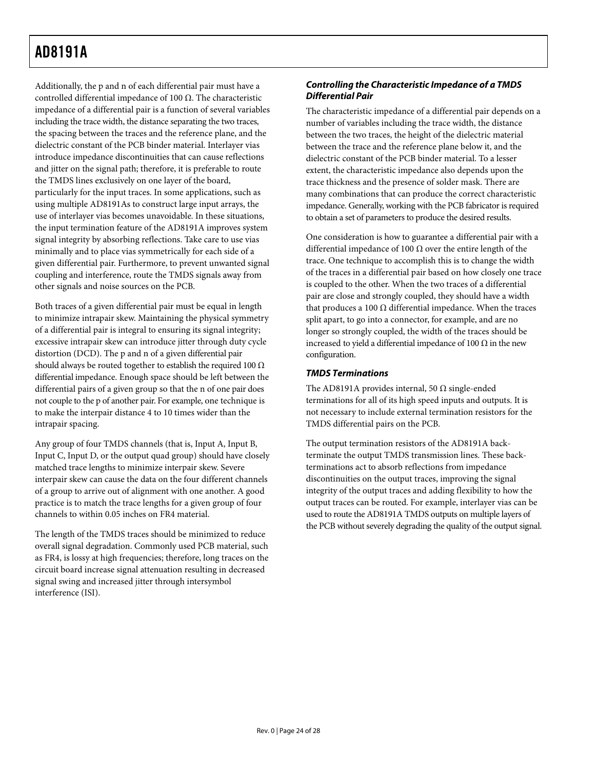Additionally, the p and n of each differential pair must have a controlled differential impedance of 100 Ω. The characteristic impedance of a differential pair is a function of several variables including the trace width, the distance separating the two traces, the spacing between the traces and the reference plane, and the dielectric constant of the PCB binder material. Interlayer vias introduce impedance discontinuities that can cause reflections and jitter on the signal path; therefore, it is preferable to route the TMDS lines exclusively on one layer of the board, particularly for the input traces. In some applications, such as using multiple AD8191As to construct large input arrays, the use of interlayer vias becomes unavoidable. In these situations, the input termination feature of the AD8191A improves system signal integrity by absorbing reflections. Take care to use vias minimally and to place vias symmetrically for each side of a given differential pair. Furthermore, to prevent unwanted signal coupling and interference, route the TMDS signals away from other signals and noise sources on the PCB.

Both traces of a given differential pair must be equal in length to minimize intrapair skew. Maintaining the physical symmetry of a differential pair is integral to ensuring its signal integrity; excessive intrapair skew can introduce jitter through duty cycle distortion (DCD). The p and n of a given differential pair should always be routed together to establish the required 100  $\Omega$ differential impedance. Enough space should be left between the differential pairs of a given group so that the n of one pair does not couple to the p of another pair. For example, one technique is to make the interpair distance 4 to 10 times wider than the intrapair spacing.

Any group of four TMDS channels (that is, Input A, Input B, Input C, Input D, or the output quad group) should have closely matched trace lengths to minimize interpair skew. Severe interpair skew can cause the data on the four different channels of a group to arrive out of alignment with one another. A good practice is to match the trace lengths for a given group of four channels to within 0.05 inches on FR4 material.

The length of the TMDS traces should be minimized to reduce overall signal degradation. Commonly used PCB material, such as FR4, is lossy at high frequencies; therefore, long traces on the circuit board increase signal attenuation resulting in decreased signal swing and increased jitter through intersymbol interference (ISI).

### **Controlling the Characteristic Impedance of a TMDS Differential Pair**

The characteristic impedance of a differential pair depends on a number of variables including the trace width, the distance between the two traces, the height of the dielectric material between the trace and the reference plane below it, and the dielectric constant of the PCB binder material. To a lesser extent, the characteristic impedance also depends upon the trace thickness and the presence of solder mask. There are many combinations that can produce the correct characteristic impedance. Generally, working with the PCB fabricator is required to obtain a set of parameters to produce the desired results.

One consideration is how to guarantee a differential pair with a differential impedance of 100 Ω over the entire length of the trace. One technique to accomplish this is to change the width of the traces in a differential pair based on how closely one trace is coupled to the other. When the two traces of a differential pair are close and strongly coupled, they should have a width that produces a 100 Ω differential impedance. When the traces split apart, to go into a connector, for example, and are no longer so strongly coupled, the width of the traces should be increased to yield a differential impedance of 100  $\Omega$  in the new configuration.

#### **TMDS Terminations**

The AD8191A provides internal, 50  $\Omega$  single-ended terminations for all of its high speed inputs and outputs. It is not necessary to include external termination resistors for the TMDS differential pairs on the PCB.

The output termination resistors of the AD8191A backterminate the output TMDS transmission lines. These backterminations act to absorb reflections from impedance discontinuities on the output traces, improving the signal integrity of the output traces and adding flexibility to how the output traces can be routed. For example, interlayer vias can be used to route the AD8191A TMDS outputs on multiple layers of the PCB without severely degrading the quality of the output signal.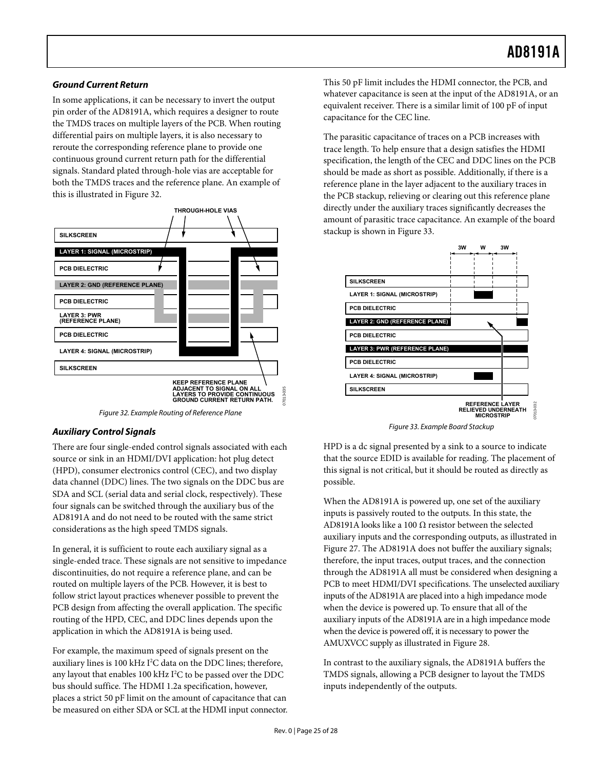#### **Ground Current Return**

In some applications, it can be necessary to invert the output pin order of the AD8191A, which requires a designer to route the TMDS traces on multiple layers of the PCB. When routing differential pairs on multiple layers, it is also necessary to reroute the corresponding reference plane to provide one continuous ground current return path for the differential signals. Standard plated through-hole vias are acceptable for both the TMDS traces and the reference plane. An example of this is illustrated in [Figure 32](#page-24-0).



Figure 32. Example Routing of Reference Plane

### <span id="page-24-1"></span><span id="page-24-0"></span>**Auxiliary Control Signals**

There are four single-ended control signals associated with each source or sink in an HDMI/DVI application: hot plug detect (HPD), consumer electronics control (CEC), and two display data channel (DDC) lines. The two signals on the DDC bus are SDA and SCL (serial data and serial clock, respectively). These four signals can be switched through the auxiliary bus of the AD8191A and do not need to be routed with the same strict considerations as the high speed TMDS signals.

In general, it is sufficient to route each auxiliary signal as a single-ended trace. These signals are not sensitive to impedance discontinuities, do not require a reference plane, and can be routed on multiple layers of the PCB. However, it is best to follow strict layout practices whenever possible to prevent the PCB design from affecting the overall application. The specific routing of the HPD, CEC, and DDC lines depends upon the application in which the AD8191A is being used.

For example, the maximum speed of signals present on the auxiliary lines is 100 kHz I<sup>2</sup>C data on the DDC lines; therefore, any layout that enables 100 kHz  $I<sup>2</sup>C$  to be passed over the DDC bus should suffice. The HDMI 1.2a specification, however, places a strict 50 pF limit on the amount of capacitance that can be measured on either SDA or SCL at the HDMI input connector. This 50 pF limit includes the HDMI connector, the PCB, and whatever capacitance is seen at the input of the AD8191A, or an equivalent receiver. There is a similar limit of 100 pF of input capacitance for the CEC line.

The parasitic capacitance of traces on a PCB increases with trace length. To help ensure that a design satisfies the HDMI specification, the length of the CEC and DDC lines on the PCB should be made as short as possible. Additionally, if there is a reference plane in the layer adjacent to the auxiliary traces in the PCB stackup, relieving or clearing out this reference plane directly under the auxiliary traces significantly decreases the amount of parasitic trace capacitance. An example of the board stackup is shown in [Figure 33.](#page-24-1)



Figure 33. Example Board Stackup

HPD is a dc signal presented by a sink to a source to indicate that the source EDID is available for reading. The placement of this signal is not critical, but it should be routed as directly as possible.

When the AD8191A is powered up, one set of the auxiliary inputs is passively routed to the outputs. In this state, the AD8191A looks like a 100  $\Omega$  resistor between the selected auxiliary inputs and the corresponding outputs, as illustrated in [Figure 27](#page-13-1). The AD8191A does not buffer the auxiliary signals; therefore, the input traces, output traces, and the connection through the AD8191A all must be considered when designing a PCB to meet HDMI/DVI specifications. The unselected auxiliary inputs of the AD8191A are placed into a high impedance mode when the device is powered up. To ensure that all of the auxiliary inputs of the AD8191A are in a high impedance mode when the device is powered off, it is necessary to power the AMUXVCC supply as illustrated in [Figure 28.](#page-13-2)

In contrast to the auxiliary signals, the AD8191A buffers the TMDS signals, allowing a PCB designer to layout the TMDS inputs independently of the outputs.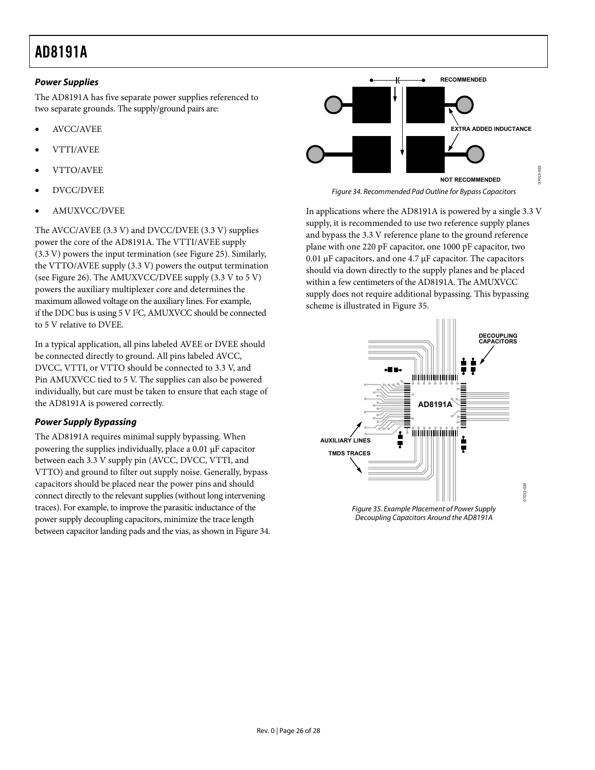### **Power Supplies**

The AD8191A has five separate power supplies referenced to two separate grounds. The supply/ground pairs are:

- AVCC/AVEE
- VTTI/AVEE
- VTTO/AVEE
- <span id="page-25-0"></span>• DVCC/DVEE
- AMUXVCC/DVEE

The AVCC/AVEE (3.3 V) and DVCC/DVEE (3.3 V) supplies power the core of the AD8191A. The VTTI/AVEE supply (3.3 V) powers the input termination (see [Figure 25](#page-12-1)). Similarly, the VTTO/AVEE supply (3.3 V) powers the output termination (see [Figure 26\)](#page-12-2). The AMUXVCC/DVEE supply (3.3 V to 5 V) powers the auxiliary multiplexer core and determines the maximum allowed voltage on the auxiliary lines. For example, if the DDC bus is using 5 V I<sup>2</sup>C, AMUXVCC should be connected to 5 V relative to DVEE.

In a typical application, all pins labeled AVEE or DVEE should be connected directly to ground. All pins labeled AVCC, DVCC, VTTI, or VTTO should be connected to 3.3 V, and Pin AMUXVCC tied to 5 V. The supplies can also be powered individually, but care must be taken to ensure that each stage of the AD8191A is powered correctly.

## **Power Supply Bypassing**

<span id="page-25-1"></span>The AD8191A requires minimal supply bypassing. When powering the supplies individually, place a 0.01 μF capacitor between each 3.3 V supply pin (AVCC, DVCC, VTTI, and VTTO) and ground to filter out supply noise. Generally, bypass capacitors should be placed near the power pins and should connect directly to the relevant supplies (without long intervening traces). For example, to improve the parasitic inductance of the power supply decoupling capacitors, minimize the trace length between capacitor landing pads and the vias, as shown in [Figure 34](#page-25-0).



Figure 34. Recommended Pad Outline for Bypass Capacitors

In applications where the AD8191A is powered by a single 3.3 V supply, it is recommended to use two reference supply planes and bypass the 3.3 V reference plane to the ground reference plane with one 220 pF capacitor, one 1000 pF capacitor, two 0.01 μF capacitors, and one 4.7 μF capacitor. The capacitors should via down directly to the supply planes and be placed within a few centimeters of the AD8191A. The AMUXVCC supply does not require additional bypassing. This bypassing scheme is illustrated in [Figure 35](#page-25-1).

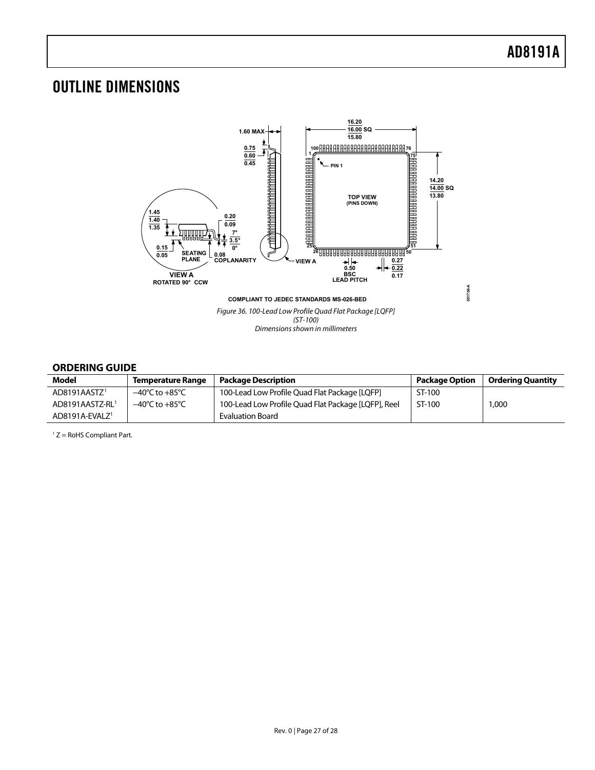## <span id="page-26-0"></span>OUTLINE DIMENSIONS



#### **ORDERING GUIDE**

<span id="page-26-1"></span>

| Model                         | <b>Temperature Range</b>           | <b>Package Description</b>                          | <b>Package Option</b> | Ordering Quantity |
|-------------------------------|------------------------------------|-----------------------------------------------------|-----------------------|-------------------|
| AD8191AASTZ <sup>1</sup>      | $-40^{\circ}$ C to $+85^{\circ}$ C | 100-Lead Low Profile Quad Flat Package [LQFP]       | ST-100                |                   |
| AD8191AASTZ-RL1               | $-40^{\circ}$ C to $+85^{\circ}$ C | 100-Lead Low Profile Quad Flat Package [LQFP], Reel | ST-100                | 1,000             |
| $AD8191A$ -EVALZ <sup>1</sup> |                                    | Evaluation Board                                    |                       |                   |

1 Z = RoHS Compliant Part.